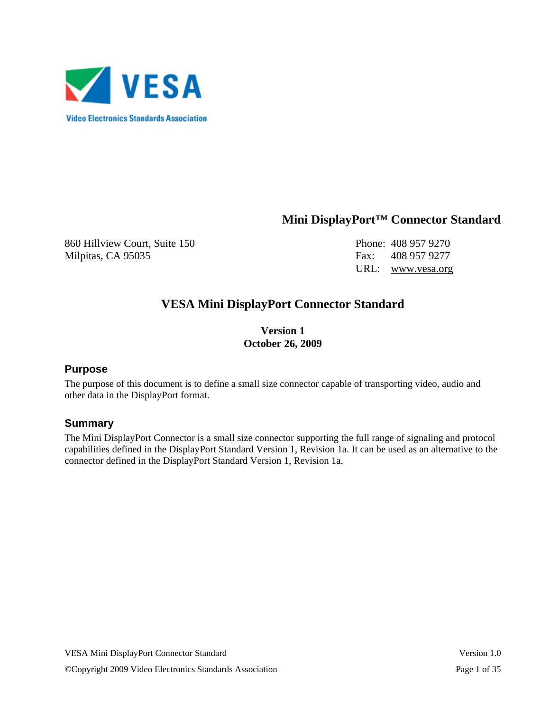

## **Mini DisplayPort™ Connector Standard**

860 Hillview Court, Suite 150 Phone: 408 957 9270 Milpitas, CA 95035 Fax: 408 957 9277

URL: www.vesa.org

## **VESA Mini DisplayPort Connector Standard**

**Version 1 October 26, 2009** 

#### **Purpose**

The purpose of this document is to define a small size connector capable of transporting video, audio and other data in the DisplayPort format.

#### **Summary**

The Mini DisplayPort Connector is a small size connector supporting the full range of signaling and protocol capabilities defined in the DisplayPort Standard Version 1, Revision 1a. It can be used as an alternative to the connector defined in the DisplayPort Standard Version 1, Revision 1a.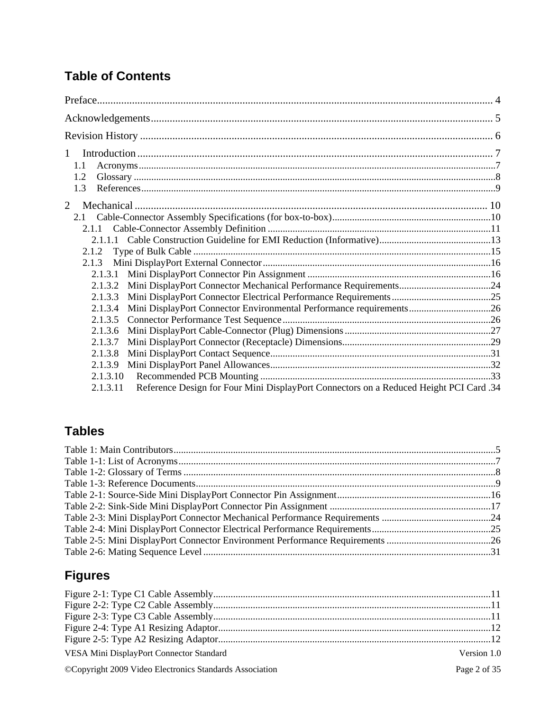# **Table of Contents**

| $\mathbf{1}$<br>1.1<br>1.2<br>1.3                                                                  |  |
|----------------------------------------------------------------------------------------------------|--|
| $\overline{2}$                                                                                     |  |
|                                                                                                    |  |
| 2.1.1                                                                                              |  |
|                                                                                                    |  |
| 2.1.2                                                                                              |  |
| 2.1.3                                                                                              |  |
| 2.1.3.1                                                                                            |  |
| 2.1.3.2                                                                                            |  |
| 2.1.3.3                                                                                            |  |
| Mini DisplayPort Connector Environmental Performance requirements26<br>2.1.3.4                     |  |
| 2.1.3.5                                                                                            |  |
| 2.1.3.6                                                                                            |  |
| 2.1.3.7                                                                                            |  |
| 2.1.3.8                                                                                            |  |
| 2.1.3.9                                                                                            |  |
| 2.1.3.10                                                                                           |  |
| Reference Design for Four Mini DisplayPort Connectors on a Reduced Height PCI Card .34<br>2.1.3.11 |  |

# **Tables**

# **Figures**

| VESA Mini DisplayPort Connector Standard                | Version 1.0  |
|---------------------------------------------------------|--------------|
| ©Copyright 2009 Video Electronics Standards Association | Page 2 of 35 |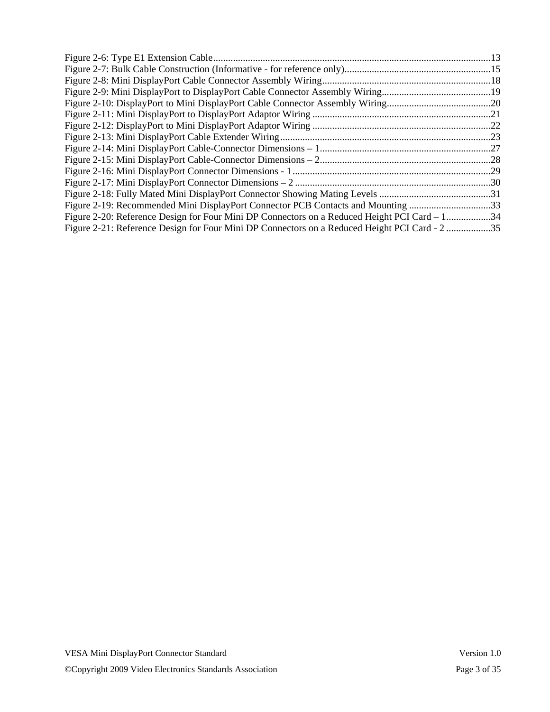| Figure 2-19: Recommended Mini DisplayPort Connector PCB Contacts and Mounting 33              |  |
|-----------------------------------------------------------------------------------------------|--|
| Figure 2-20: Reference Design for Four Mini DP Connectors on a Reduced Height PCI Card – 134  |  |
| Figure 2-21: Reference Design for Four Mini DP Connectors on a Reduced Height PCI Card - 2 35 |  |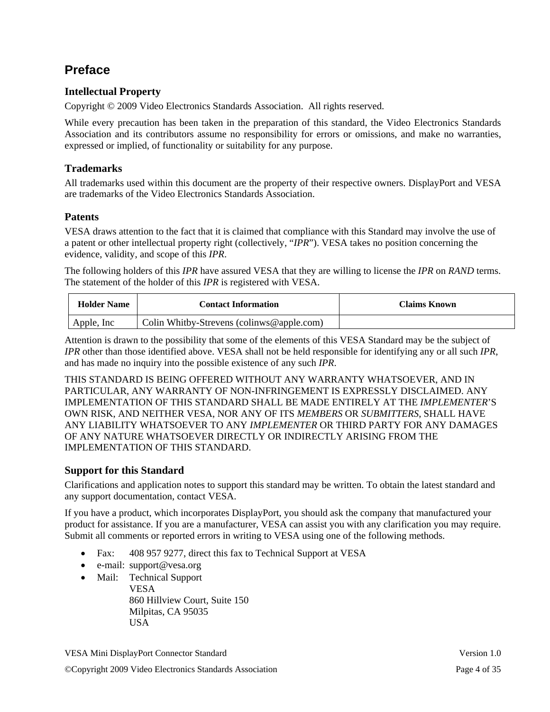# **Preface**

#### **Intellectual Property**

Copyright © 2009 Video Electronics Standards Association. All rights reserved.

While every precaution has been taken in the preparation of this standard, the Video Electronics Standards Association and its contributors assume no responsibility for errors or omissions, and make no warranties, expressed or implied, of functionality or suitability for any purpose.

#### **Trademarks**

All trademarks used within this document are the property of their respective owners. DisplayPort and VESA are trademarks of the Video Electronics Standards Association.

#### **Patents**

VESA draws attention to the fact that it is claimed that compliance with this Standard may involve the use of a patent or other intellectual property right (collectively, "*IPR*"). VESA takes no position concerning the evidence, validity, and scope of this *IPR*.

The following holders of this *IPR* have assured VESA that they are willing to license the *IPR* on *RAND* terms. The statement of the holder of this *IPR* is registered with VESA.

| <b>Holder Name</b> | <b>Contact Information</b>                | Claims Known |
|--------------------|-------------------------------------------|--------------|
| Apple, Inc.        | Colin Whitby-Strevens (colinws@apple.com) |              |

Attention is drawn to the possibility that some of the elements of this VESA Standard may be the subject of *IPR* other than those identified above. VESA shall not be held responsible for identifying any or all such *IPR*, and has made no inquiry into the possible existence of any such *IPR*.

THIS STANDARD IS BEING OFFERED WITHOUT ANY WARRANTY WHATSOEVER, AND IN PARTICULAR, ANY WARRANTY OF NON-INFRINGEMENT IS EXPRESSLY DISCLAIMED. ANY IMPLEMENTATION OF THIS STANDARD SHALL BE MADE ENTIRELY AT THE *IMPLEMENTER*'S OWN RISK, AND NEITHER VESA, NOR ANY OF ITS *MEMBERS* OR *SUBMITTERS*, SHALL HAVE ANY LIABILITY WHATSOEVER TO ANY *IMPLEMENTER* OR THIRD PARTY FOR ANY DAMAGES OF ANY NATURE WHATSOEVER DIRECTLY OR INDIRECTLY ARISING FROM THE IMPLEMENTATION OF THIS STANDARD.

#### **Support for this Standard**

Clarifications and application notes to support this standard may be written. To obtain the latest standard and any support documentation, contact VESA.

If you have a product, which incorporates DisplayPort, you should ask the company that manufactured your product for assistance. If you are a manufacturer, VESA can assist you with any clarification you may require. Submit all comments or reported errors in writing to VESA using one of the following methods.

- Fax: 408 957 9277, direct this fax to Technical Support at VESA
- e-mail: support@vesa.org
- Mail: Technical Support VESA 860 Hillview Court, Suite 150 Milpitas, CA 95035 USA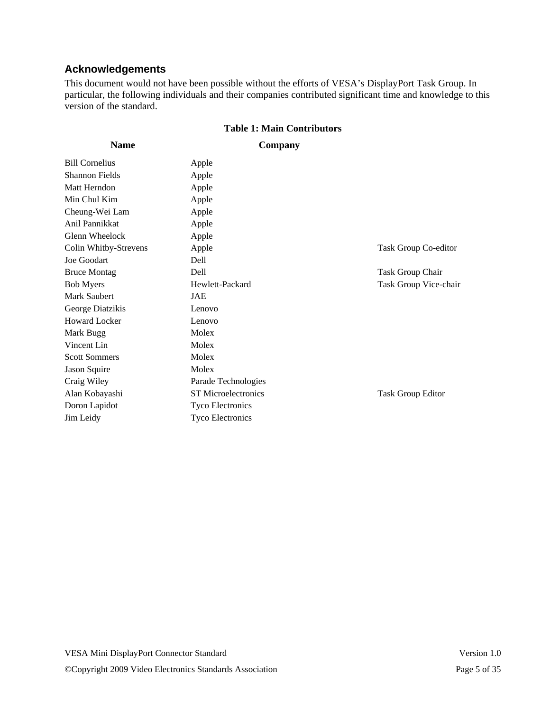### **Acknowledgements**

This document would not have been possible without the efforts of VESA's DisplayPort Task Group. In particular, the following individuals and their companies contributed significant time and knowledge to this version of the standard.

#### **Table 1: Main Contributors**

**Company** 

| <b>Bill Cornelius</b> | Apple                      |                          |
|-----------------------|----------------------------|--------------------------|
| <b>Shannon Fields</b> | Apple                      |                          |
| Matt Herndon          | Apple                      |                          |
| Min Chul Kim          | Apple                      |                          |
| Cheung-Wei Lam        | Apple                      |                          |
| Anil Pannikkat        | Apple                      |                          |
| Glenn Wheelock        | Apple                      |                          |
| Colin Whitby-Strevens | Apple                      | Task Group Co-editor     |
| Joe Goodart           | Dell                       |                          |
| <b>Bruce Montag</b>   | Dell                       | Task Group Chair         |
| <b>Bob Myers</b>      | Hewlett-Packard            | Task Group Vice-chair    |
| Mark Saubert          | JAE                        |                          |
| George Diatzikis      | Lenovo                     |                          |
| <b>Howard Locker</b>  | Lenovo                     |                          |
| Mark Bugg             | Molex                      |                          |
| Vincent Lin           | Molex                      |                          |
| <b>Scott Sommers</b>  | Molex                      |                          |
| Jason Squire          | Molex                      |                          |
| Craig Wiley           | Parade Technologies        |                          |
| Alan Kobayashi        | <b>ST</b> Microelectronics | <b>Task Group Editor</b> |
| Doron Lapidot         | <b>Tyco Electronics</b>    |                          |
| Jim Leidy             | <b>Tyco Electronics</b>    |                          |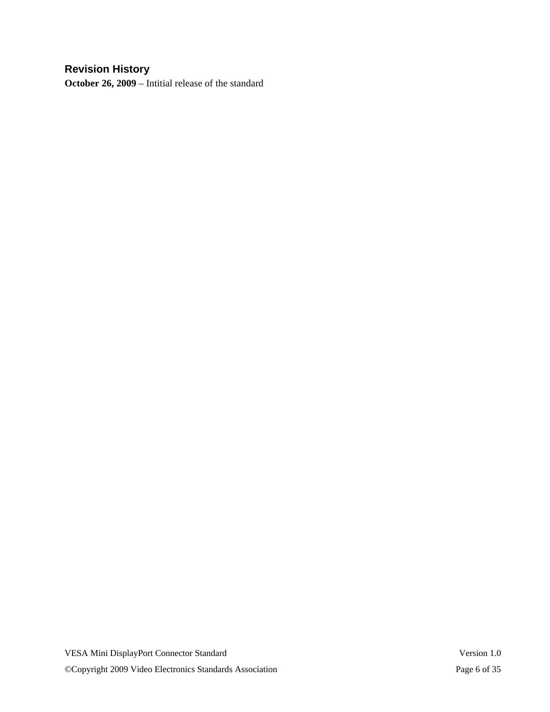### **Revision History**

**October 26, 2009** – Intitial release of the standard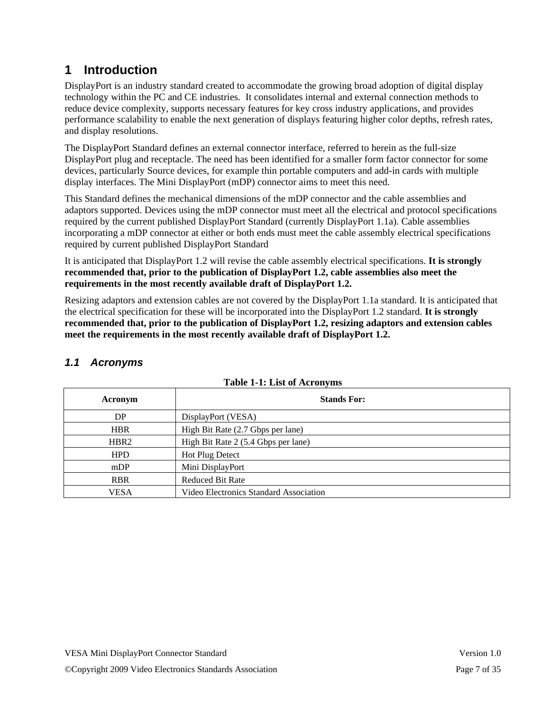# **1 Introduction**

DisplayPort is an industry standard created to accommodate the growing broad adoption of digital display technology within the PC and CE industries. It consolidates internal and external connection methods to reduce device complexity, supports necessary features for key cross industry applications, and provides performance scalability to enable the next generation of displays featuring higher color depths, refresh rates, and display resolutions.

The DisplayPort Standard defines an external connector interface, referred to herein as the full-size DisplayPort plug and receptacle. The need has been identified for a smaller form factor connector for some devices, particularly Source devices, for example thin portable computers and add-in cards with multiple display interfaces. The Mini DisplayPort (mDP) connector aims to meet this need.

This Standard defines the mechanical dimensions of the mDP connector and the cable assemblies and adaptors supported. Devices using the mDP connector must meet all the electrical and protocol specifications required by the current published DisplayPort Standard (currently DisplayPort 1.1a). Cable assemblies incorporating a mDP connector at either or both ends must meet the cable assembly electrical specifications required by current published DisplayPort Standard

It is anticipated that DisplayPort 1.2 will revise the cable assembly electrical specifications. **It is strongly recommended that, prior to the publication of DisplayPort 1.2, cable assemblies also meet the requirements in the most recently available draft of DisplayPort 1.2.** 

Resizing adaptors and extension cables are not covered by the DisplayPort 1.1a standard. It is anticipated that the electrical specification for these will be incorporated into the DisplayPort 1.2 standard. **It is strongly recommended that, prior to the publication of DisplayPort 1.2, resizing adaptors and extension cables meet the requirements in the most recently available draft of DisplayPort 1.2.**

|  |  | Table 1-1: List of Acronyms |
|--|--|-----------------------------|
|  |  |                             |

| Acronym          | <b>Stands For:</b>                     |
|------------------|----------------------------------------|
| DP               | DisplayPort (VESA)                     |
| <b>HBR</b>       | High Bit Rate (2.7 Gbps per lane)      |
| HBR <sub>2</sub> | High Bit Rate 2 (5.4 Gbps per lane)    |
| <b>HPD</b>       | <b>Hot Plug Detect</b>                 |
| mDP              | Mini DisplayPort                       |
| <b>RBR</b>       | <b>Reduced Bit Rate</b>                |
| VESA             | Video Electronics Standard Association |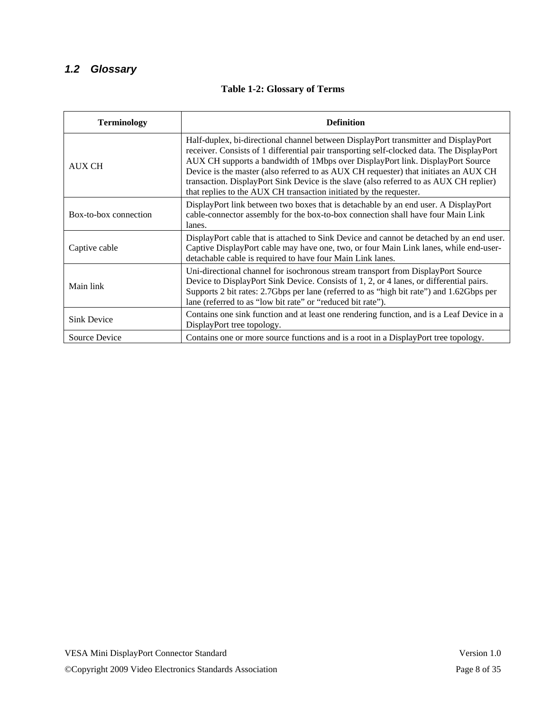### *1.2 Glossary*

#### **Table 1-2: Glossary of Terms**

| <b>Terminology</b>    | <b>Definition</b>                                                                                                                                                                                                                                                                                                                                                                                                                                                                                                          |
|-----------------------|----------------------------------------------------------------------------------------------------------------------------------------------------------------------------------------------------------------------------------------------------------------------------------------------------------------------------------------------------------------------------------------------------------------------------------------------------------------------------------------------------------------------------|
| <b>AUX CH</b>         | Half-duplex, bi-directional channel between DisplayPort transmitter and DisplayPort<br>receiver. Consists of 1 differential pair transporting self-clocked data. The DisplayPort<br>AUX CH supports a bandwidth of 1Mbps over DisplayPort link. DisplayPort Source<br>Device is the master (also referred to as AUX CH requester) that initiates an AUX CH<br>transaction. DisplayPort Sink Device is the slave (also referred to as AUX CH replier)<br>that replies to the AUX CH transaction initiated by the requester. |
| Box-to-box connection | DisplayPort link between two boxes that is detachable by an end user. A DisplayPort<br>cable-connector assembly for the box-to-box connection shall have four Main Link<br>lanes.                                                                                                                                                                                                                                                                                                                                          |
| Captive cable         | DisplayPort cable that is attached to Sink Device and cannot be detached by an end user.<br>Captive DisplayPort cable may have one, two, or four Main Link lanes, while end-user-<br>detachable cable is required to have four Main Link lanes.                                                                                                                                                                                                                                                                            |
| Main link             | Uni-directional channel for isochronous stream transport from DisplayPort Source<br>Device to DisplayPort Sink Device. Consists of 1, 2, or 4 lanes, or differential pairs.<br>Supports 2 bit rates: 2.7Gbps per lane (referred to as "high bit rate") and 1.62Gbps per<br>lane (referred to as "low bit rate" or "reduced bit rate").                                                                                                                                                                                     |
| <b>Sink Device</b>    | Contains one sink function and at least one rendering function, and is a Leaf Device in a<br>DisplayPort tree topology.                                                                                                                                                                                                                                                                                                                                                                                                    |
| Source Device         | Contains one or more source functions and is a root in a DisplayPort tree topology.                                                                                                                                                                                                                                                                                                                                                                                                                                        |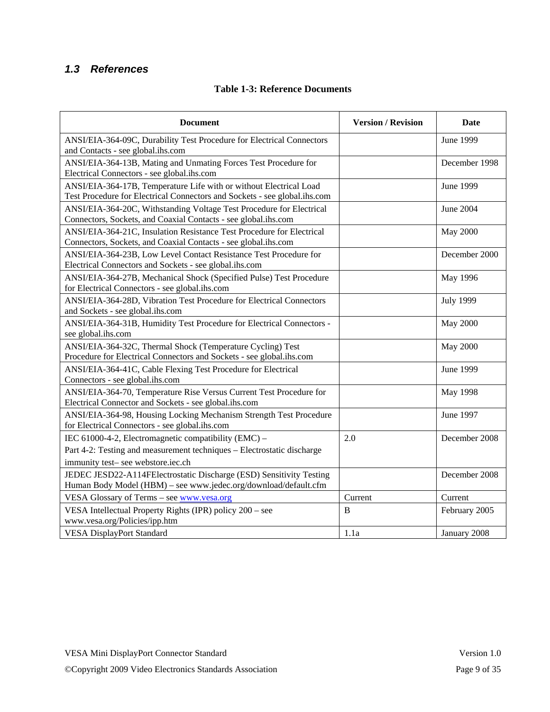### *1.3 References*

| <b>Document</b>                                                                                                                                 | <b>Version / Revision</b> | <b>Date</b>      |
|-------------------------------------------------------------------------------------------------------------------------------------------------|---------------------------|------------------|
| ANSI/EIA-364-09C, Durability Test Procedure for Electrical Connectors<br>and Contacts - see global.ihs.com                                      |                           | June 1999        |
| ANSI/EIA-364-13B, Mating and Unmating Forces Test Procedure for<br>Electrical Connectors - see global.ihs.com                                   |                           | December 1998    |
| ANSI/EIA-364-17B, Temperature Life with or without Electrical Load<br>Test Procedure for Electrical Connectors and Sockets - see global.ihs.com |                           | June 1999        |
| ANSI/EIA-364-20C, Withstanding Voltage Test Procedure for Electrical<br>Connectors, Sockets, and Coaxial Contacts - see global.ihs.com          |                           | June 2004        |
| ANSI/EIA-364-21C, Insulation Resistance Test Procedure for Electrical<br>Connectors, Sockets, and Coaxial Contacts - see global.ihs.com         |                           | <b>May 2000</b>  |
| ANSI/EIA-364-23B, Low Level Contact Resistance Test Procedure for<br>Electrical Connectors and Sockets - see global.ihs.com                     |                           | December 2000    |
| ANSI/EIA-364-27B, Mechanical Shock (Specified Pulse) Test Procedure<br>for Electrical Connectors - see global.ihs.com                           |                           | May 1996         |
| ANSI/EIA-364-28D, Vibration Test Procedure for Electrical Connectors<br>and Sockets - see global.ihs.com                                        |                           | <b>July 1999</b> |
| ANSI/EIA-364-31B, Humidity Test Procedure for Electrical Connectors -<br>see global.ihs.com                                                     |                           | <b>May 2000</b>  |
| ANSI/EIA-364-32C, Thermal Shock (Temperature Cycling) Test<br>Procedure for Electrical Connectors and Sockets - see global.ihs.com              |                           | <b>May 2000</b>  |
| ANSI/EIA-364-41C, Cable Flexing Test Procedure for Electrical<br>Connectors - see global.ihs.com                                                |                           | June 1999        |
| ANSI/EIA-364-70, Temperature Rise Versus Current Test Procedure for<br>Electrical Connector and Sockets - see global.ihs.com                    |                           | May 1998         |
| ANSI/EIA-364-98, Housing Locking Mechanism Strength Test Procedure<br>for Electrical Connectors - see global.ihs.com                            |                           | June 1997        |
| IEC 61000-4-2, Electromagnetic compatibility (EMC) -                                                                                            | 2.0                       | December 2008    |
| Part 4-2: Testing and measurement techniques - Electrostatic discharge<br>immunity test- see webstore.iec.ch                                    |                           |                  |
| JEDEC JESD22-A114FElectrostatic Discharge (ESD) Sensitivity Testing<br>Human Body Model (HBM) - see www.jedec.org/download/default.cfm          |                           | December 2008    |
| VESA Glossary of Terms - see www.vesa.org                                                                                                       | Current                   | Current          |
| VESA Intellectual Property Rights (IPR) policy 200 – see<br>www.vesa.org/Policies/ipp.htm                                                       | B                         | February 2005    |
| <b>VESA DisplayPort Standard</b>                                                                                                                | 1.1a                      | January 2008     |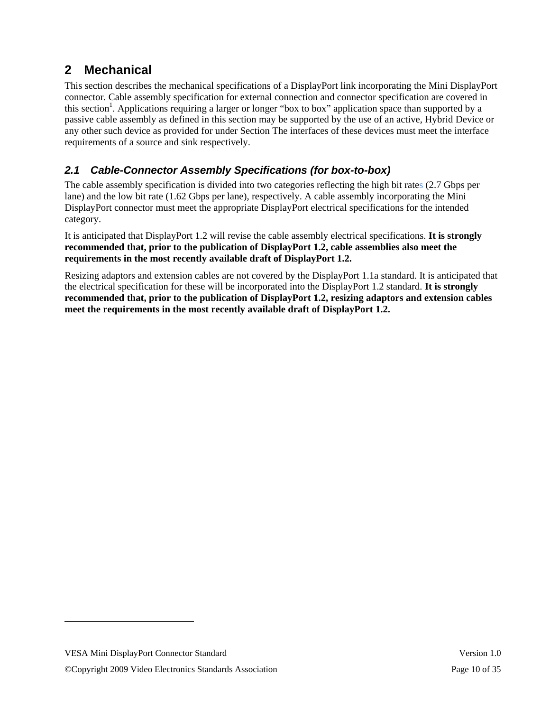# **2 Mechanical**

This section describes the mechanical specifications of a DisplayPort link incorporating the Mini DisplayPort connector. Cable assembly specification for external connection and connector specification are covered in this section<sup>1</sup>. Applications requiring a larger or longer "box to box" application space than supported by a passive cable assembly as defined in this section may be supported by the use of an active, Hybrid Device or any other such device as provided for under Section The interfaces of these devices must meet the interface requirements of a source and sink respectively.

### *2.1 Cable-Connector Assembly Specifications (for box-to-box)*

The cable assembly specification is divided into two categories reflecting the high bit rates (2.7 Gbps per lane) and the low bit rate (1.62 Gbps per lane), respectively. A cable assembly incorporating the Mini DisplayPort connector must meet the appropriate DisplayPort electrical specifications for the intended category.

It is anticipated that DisplayPort 1.2 will revise the cable assembly electrical specifications. **It is strongly recommended that, prior to the publication of DisplayPort 1.2, cable assemblies also meet the requirements in the most recently available draft of DisplayPort 1.2.** 

Resizing adaptors and extension cables are not covered by the DisplayPort 1.1a standard. It is anticipated that the electrical specification for these will be incorporated into the DisplayPort 1.2 standard. **It is strongly recommended that, prior to the publication of DisplayPort 1.2, resizing adaptors and extension cables meet the requirements in the most recently available draft of DisplayPort 1.2.**

l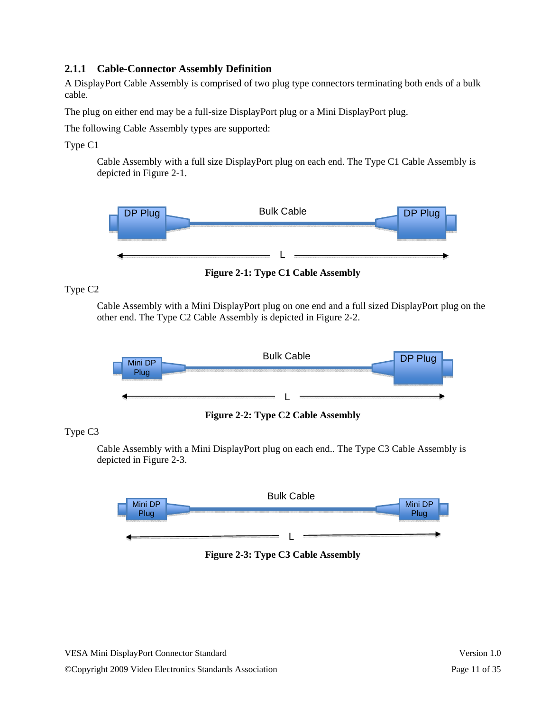#### **2.1.1 Cable-Connector Assembly Definition**

A DisplayPort Cable Assembly is comprised of two plug type connectors terminating both ends of a bulk cable.

The plug on either end may be a full-size DisplayPort plug or a Mini DisplayPort plug.

The following Cable Assembly types are supported:

Type C1

Cable Assembly with a full size DisplayPort plug on each end. The Type C1 Cable Assembly is depicted in Figure 2-1.



**Figure 2-1: Type C1 Cable Assembly** 

Type C2

Cable Assembly with a Mini DisplayPort plug on one end and a full sized DisplayPort plug on the other end. The Type C2 Cable Assembly is depicted in Figure 2-2.



**Figure 2-2: Type C2 Cable Assembly** 

Type C3

Cable Assembly with a Mini DisplayPort plug on each end.. The Type C3 Cable Assembly is depicted in Figure 2-3.



**Figure 2-3: Type C3 Cable Assembly**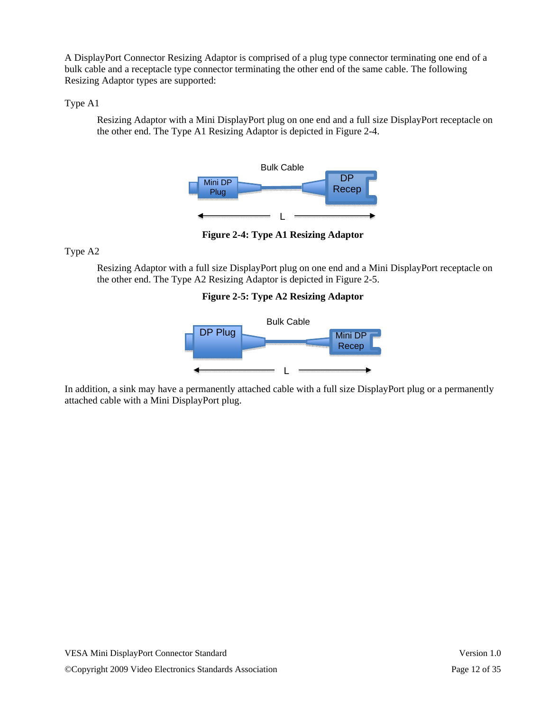A DisplayPort Connector Resizing Adaptor is comprised of a plug type connector terminating one end of a bulk cable and a receptacle type connector terminating the other end of the same cable. The following Resizing Adaptor types are supported:

#### Type A1

Resizing Adaptor with a Mini DisplayPort plug on one end and a full size DisplayPort receptacle on the other end. The Type A1 Resizing Adaptor is depicted in Figure 2-4.



**Figure 2-4: Type A1 Resizing Adaptor** 

Type A2

Resizing Adaptor with a full size DisplayPort plug on one end and a Mini DisplayPort receptacle on the other end. The Type A2 Resizing Adaptor is depicted in Figure 2-5.

#### **Figure 2-5: Type A2 Resizing Adaptor**



In addition, a sink may have a permanently attached cable with a full size DisplayPort plug or a permanently attached cable with a Mini DisplayPort plug.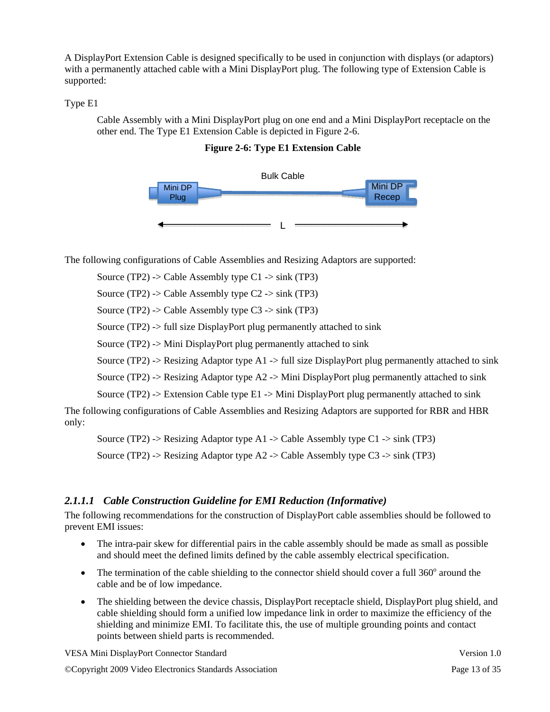A DisplayPort Extension Cable is designed specifically to be used in conjunction with displays (or adaptors) with a permanently attached cable with a Mini DisplayPort plug. The following type of Extension Cable is supported:

#### Type E1

Cable Assembly with a Mini DisplayPort plug on one end and a Mini DisplayPort receptacle on the other end. The Type E1 Extension Cable is depicted in Figure 2-6.

**Figure 2-6: Type E1 Extension Cable** 



The following configurations of Cable Assemblies and Resizing Adaptors are supported:

Source (TP2) -> Cable Assembly type  $C1 \rightarrow$  sink (TP3)

Source (TP2) -> Cable Assembly type  $C2 \rightarrow$  sink (TP3)

Source (TP2) -> Cable Assembly type  $C3 \rightarrow$  sink (TP3)

Source (TP2) -> full size DisplayPort plug permanently attached to sink

Source (TP2) -> Mini DisplayPort plug permanently attached to sink

Source (TP2) -> Resizing Adaptor type A1 -> full size DisplayPort plug permanently attached to sink

Source (TP2) -> Resizing Adaptor type  $A2 \rightarrow$  Mini DisplayPort plug permanently attached to sink

Source (TP2) -> Extension Cable type  $E1 \rightarrow$  Mini DisplayPort plug permanently attached to sink

The following configurations of Cable Assemblies and Resizing Adaptors are supported for RBR and HBR only:

Source (TP2) -> Resizing Adaptor type A1 -> Cable Assembly type C1 -> sink (TP3)

Source (TP2) -> Resizing Adaptor type A2 -> Cable Assembly type C3 -> sink (TP3)

#### *2.1.1.1 Cable Construction Guideline for EMI Reduction (Informative)*

The following recommendations for the construction of DisplayPort cable assemblies should be followed to prevent EMI issues:

- The intra-pair skew for differential pairs in the cable assembly should be made as small as possible and should meet the defined limits defined by the cable assembly electrical specification.
- The termination of the cable shielding to the connector shield should cover a full  $360^\circ$  around the cable and be of low impedance.
- The shielding between the device chassis, DisplayPort receptacle shield, DisplayPort plug shield, and cable shielding should form a unified low impedance link in order to maximize the efficiency of the shielding and minimize EMI. To facilitate this, the use of multiple grounding points and contact points between shield parts is recommended.

VESA Mini DisplayPort Connector Standard Version 1.0

©Copyright 2009 Video Electronics Standards Association Page 13 of 35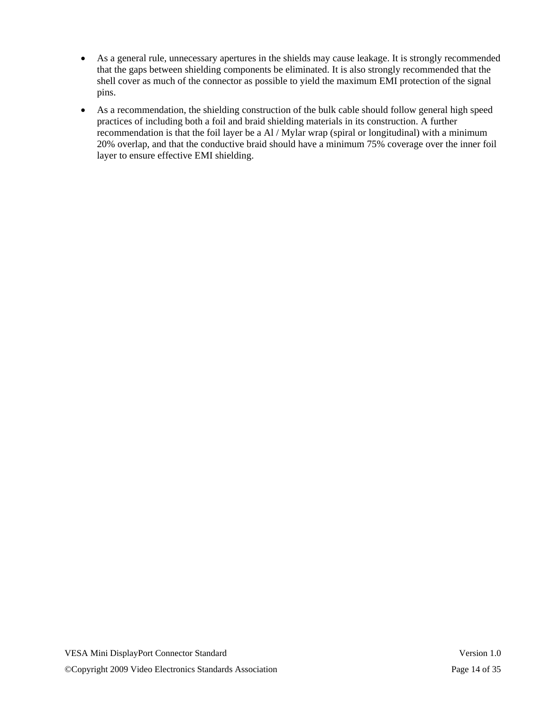- As a general rule, unnecessary apertures in the shields may cause leakage. It is strongly recommended that the gaps between shielding components be eliminated. It is also strongly recommended that the shell cover as much of the connector as possible to yield the maximum EMI protection of the signal pins.
- As a recommendation, the shielding construction of the bulk cable should follow general high speed practices of including both a foil and braid shielding materials in its construction. A further recommendation is that the foil layer be a Al / Mylar wrap (spiral or longitudinal) with a minimum 20% overlap, and that the conductive braid should have a minimum 75% coverage over the inner foil layer to ensure effective EMI shielding.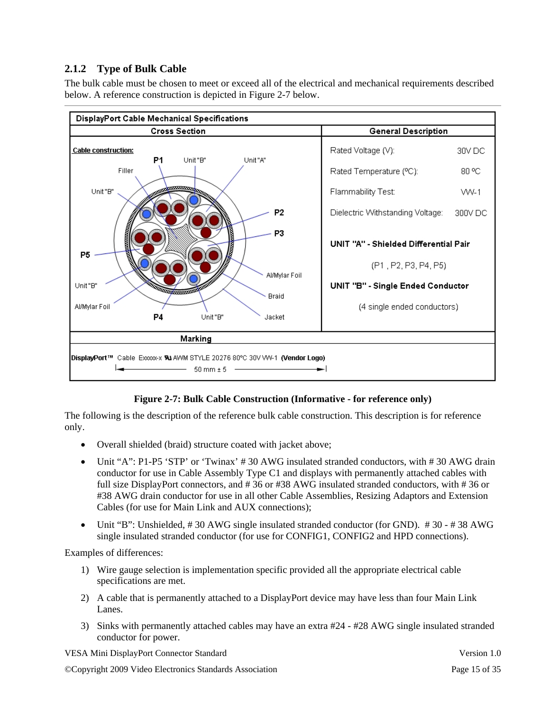### **2.1.2 Type of Bulk Cable**

The bulk cable must be chosen to meet or exceed all of the electrical and mechanical requirements described below. A reference construction is depicted in Figure 2-7 below.



#### **Figure 2-7: Bulk Cable Construction (Informative - for reference only)**

The following is the description of the reference bulk cable construction. This description is for reference only.

- Overall shielded (braid) structure coated with jacket above;
- Unit "A": P1-P5 'STP' or 'Twinax' #30 AWG insulated stranded conductors, with #30 AWG drain conductor for use in Cable Assembly Type C1 and displays with permanently attached cables with full size DisplayPort connectors, and # 36 or #38 AWG insulated stranded conductors, with # 36 or #38 AWG drain conductor for use in all other Cable Assemblies, Resizing Adaptors and Extension Cables (for use for Main Link and AUX connections);
- Unit "B": Unshielded, #30 AWG single insulated stranded conductor (for GND). #30 #38 AWG single insulated stranded conductor (for use for CONFIG1, CONFIG2 and HPD connections).

Examples of differences:

- 1) Wire gauge selection is implementation specific provided all the appropriate electrical cable specifications are met.
- 2) A cable that is permanently attached to a DisplayPort device may have less than four Main Link Lanes.
- 3) Sinks with permanently attached cables may have an extra #24 #28 AWG single insulated stranded conductor for power.

VESA Mini DisplayPort Connector Standard Version 1.0

©Copyright 2009 Video Electronics Standards Association Page 15 of 35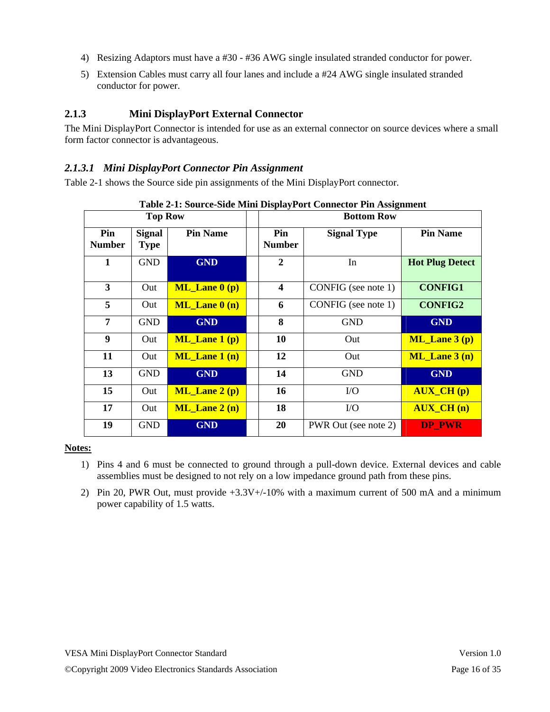- 4) Resizing Adaptors must have a #30 #36 AWG single insulated stranded conductor for power.
- 5) Extension Cables must carry all four lanes and include a #24 AWG single insulated stranded conductor for power.

#### **2.1.3 Mini DisplayPort External Connector**

The Mini DisplayPort Connector is intended for use as an external connector on source devices where a small form factor connector is advantageous.

#### *2.1.3.1 Mini DisplayPort Connector Pin Assignment*

Table 2-1 shows the Source side pin assignments of the Mini DisplayPort connector.

|                      |                              | Table 2-1; Source-Slue Milli Display Fort Connector Fill Assignment |  |                      |                      |                        |  |  |  |  |  |  |
|----------------------|------------------------------|---------------------------------------------------------------------|--|----------------------|----------------------|------------------------|--|--|--|--|--|--|
|                      | <b>Top Row</b>               |                                                                     |  | <b>Bottom Row</b>    |                      |                        |  |  |  |  |  |  |
| Pin<br><b>Number</b> | <b>Signal</b><br><b>Type</b> | <b>Pin Name</b>                                                     |  | Pin<br><b>Number</b> | <b>Signal Type</b>   | <b>Pin Name</b>        |  |  |  |  |  |  |
| 1                    | <b>GND</b>                   | <b>GND</b>                                                          |  | $\mathbf{2}$         | In                   | <b>Hot Plug Detect</b> |  |  |  |  |  |  |
| 3                    | Out                          | $ML$ Lane $0(p)$                                                    |  | 4                    | CONFIG (see note 1)  | <b>CONFIG1</b>         |  |  |  |  |  |  |
| 5                    | Out                          | $ML$ Lane $0(n)$                                                    |  | 6                    | CONFIG (see note 1)  | <b>CONFIG2</b>         |  |  |  |  |  |  |
| 7                    | <b>GND</b>                   | <b>GND</b>                                                          |  | 8                    | <b>GND</b>           | <b>GND</b>             |  |  |  |  |  |  |
| 9                    | Out                          | $ML$ Lane 1 (p)                                                     |  | 10                   | Out                  | $ML$ Lane $3(p)$       |  |  |  |  |  |  |
| 11                   | Out                          | $ML$ Lane 1 (n)                                                     |  | 12                   | Out                  | $ML$ Lane $3(n)$       |  |  |  |  |  |  |
| 13                   | <b>GND</b>                   | <b>GND</b>                                                          |  | 14                   | <b>GND</b>           | <b>GND</b>             |  |  |  |  |  |  |
| 15                   | Out                          | $ML$ Lane $2(p)$                                                    |  | 16                   | $\rm LO$             | <b>AUX_CH</b> (p)      |  |  |  |  |  |  |
| 17                   | Out                          | $ML$ Lane $2(n)$                                                    |  | 18                   | $\rm LO$             | <b>AUX_CH</b> (n)      |  |  |  |  |  |  |
| 19                   | <b>GND</b>                   | <b>GND</b>                                                          |  | 20                   | PWR Out (see note 2) | <b>DP PWR</b>          |  |  |  |  |  |  |

**Table 2-1: Source-Side Mini DisplayPort Connector Pin Assignment** 

#### **Notes:**

- 1) Pins 4 and 6 must be connected to ground through a pull-down device. External devices and cable assemblies must be designed to not rely on a low impedance ground path from these pins.
- 2) Pin 20, PWR Out, must provide  $+3.3V<sub>+/-</sub>10%$  with a maximum current of 500 mA and a minimum power capability of 1.5 watts.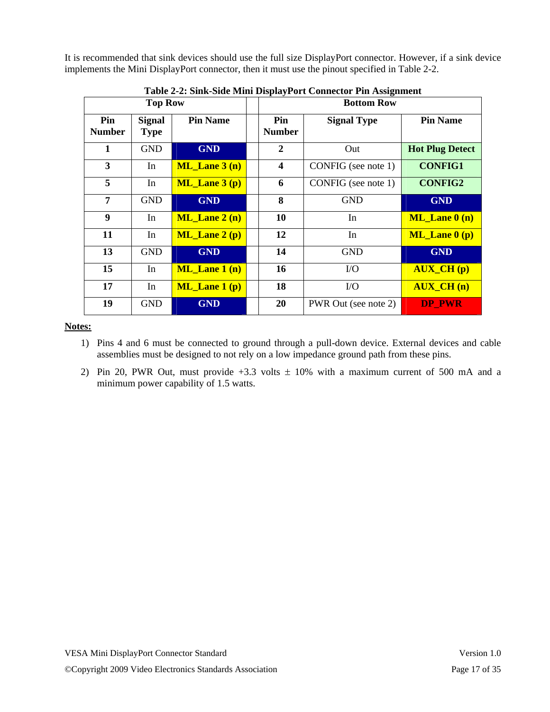It is recommended that sink devices should use the full size DisplayPort connector. However, if a sink device implements the Mini DisplayPort connector, then it must use the pinout specified in Table 2-2.

|                      | <b>Top Row</b>               |                  | <b>Bottom Row</b> |                         |                      |                        |  |  |
|----------------------|------------------------------|------------------|-------------------|-------------------------|----------------------|------------------------|--|--|
| Pin<br><b>Number</b> | <b>Signal</b><br><b>Type</b> | <b>Pin Name</b>  |                   | Pin<br><b>Number</b>    | <b>Signal Type</b>   | <b>Pin Name</b>        |  |  |
| $\mathbf{1}$         | <b>GND</b>                   | <b>GND</b>       |                   | $\mathbf{2}$            | Out                  | <b>Hot Plug Detect</b> |  |  |
| 3                    | In                           | $ML$ Lane $3(n)$ |                   | $\overline{\mathbf{4}}$ | CONFIG (see note 1)  | <b>CONFIG1</b>         |  |  |
| 5                    | In                           | ML Lane $3(p)$   |                   | 6                       | CONFIG (see note 1)  | <b>CONFIG2</b>         |  |  |
| 7                    | <b>GND</b>                   | <b>GND</b>       |                   | 8                       | <b>GND</b>           | <b>GND</b>             |  |  |
| 9                    | In                           | $ML$ Lane $2(n)$ |                   | 10                      | In                   | $ML$ Lane $0(n)$       |  |  |
| 11                   | In                           | $ML$ Lane $2(p)$ |                   | 12                      | In                   | $ML$ Lane $0(p)$       |  |  |
| 13                   | <b>GND</b>                   | <b>GND</b>       |                   | 14                      | <b>GND</b>           | <b>GND</b>             |  |  |
| 15                   | In                           | $ML$ Lane 1 (n)  |                   | 16                      | $\rm LO$             | $AUX_CH(p)$            |  |  |
| 17                   | In                           | $ML$ Lane $1(p)$ |                   | 18                      | I/O                  | <b>AUX CH(n)</b>       |  |  |
| 19                   | <b>GND</b>                   | <b>GND</b>       |                   | 20                      | PWR Out (see note 2) | <b>DP PWR</b>          |  |  |

**Table 2-2: Sink-Side Mini DisplayPort Connector Pin Assignment** 

**Notes:**

- 1) Pins 4 and 6 must be connected to ground through a pull-down device. External devices and cable assemblies must be designed to not rely on a low impedance ground path from these pins.
- 2) Pin 20, PWR Out, must provide  $+3.3$  volts  $\pm$  10% with a maximum current of 500 mA and a minimum power capability of 1.5 watts.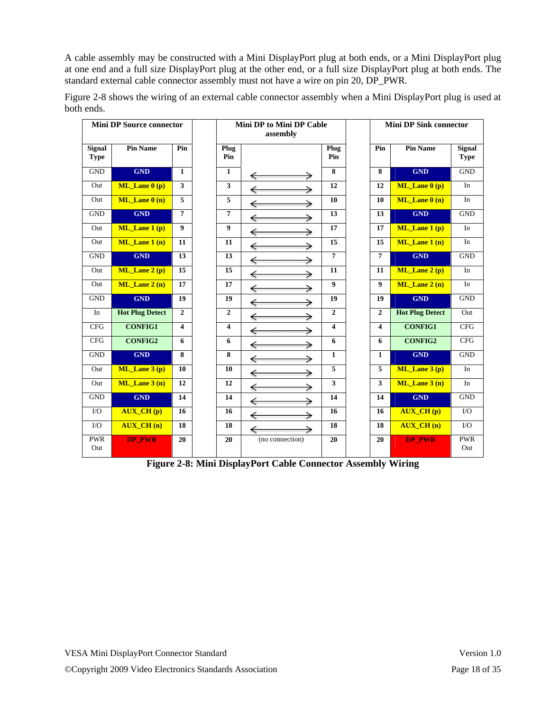A cable assembly may be constructed with a Mini DisplayPort plug at both ends, or a Mini DisplayPort plug at one end and a full size DisplayPort plug at the other end, or a full size DisplayPort plug at both ends. The standard external cable connector assembly must not have a wire on pin 20, DP\_PWR.

|                              | <b>Mini DP Source connector</b> |                         |                         | <b>Mini DP to Mini DP Cable</b><br>assembly |                         |                  | <b>Mini DP Sink connector</b> |                       |
|------------------------------|---------------------------------|-------------------------|-------------------------|---------------------------------------------|-------------------------|------------------|-------------------------------|-----------------------|
| <b>Signal</b><br><b>Type</b> | <b>Pin Name</b>                 | Pin                     | Plug<br>Pin             |                                             | Plug<br>Pin             | Pin              | <b>Pin Name</b>               | Signal<br><b>Type</b> |
| <b>GND</b>                   | <b>GND</b>                      | $\mathbf{1}$            | $\mathbf{1}$            | €                                           | 8                       | 8                | <b>GND</b>                    | <b>GND</b>            |
| Out                          | $ML$ Lane $0(p)$                | 3                       | $\mathbf{3}$            | ⇒<br>€                                      | 12                      | 12               | $ML$ <i>Lane</i> $0(p)$       | In                    |
| Out                          | $ML$ Lane $0(n)$                | $\overline{5}$          | 5                       | ⇒<br>€                                      | 10                      | 10               | ML Lane $0(n)$                | In                    |
| <b>GND</b>                   | <b>GND</b>                      | $\overline{7}$          | $\overline{7}$          | ⇒<br>€                                      | 13                      | 13               | <b>GND</b>                    | <b>GND</b>            |
| Out                          | $ML$ Lane 1 (p)                 | $\boldsymbol{9}$        | 9                       | →                                           | 17                      | 17               | $ML$ Lane 1 (p)               | In                    |
| Out                          | $ML$ Lane 1 (n)                 | 11                      | 11                      | ⇒                                           | 15                      | 15               | $ML$ Lane 1 (n)               | In                    |
| <b>GND</b>                   | <b>GND</b>                      | 13                      | 13                      | $\Rightarrow$                               | $\overline{7}$          | $\overline{7}$   | <b>GND</b>                    | <b>GND</b>            |
| Out                          | $ML$ Lane 2 (p)                 | 15                      | 15                      | ⇒<br>€                                      | 11                      | 11               | $ML$ Lane 2 (p)               | In                    |
| Out                          | ML Lane $2(n)$                  | 17                      | 17                      | ⇒<br>€                                      | $\boldsymbol{9}$        | $\boldsymbol{9}$ | ML Lane $2(n)$                | In                    |
| <b>GND</b>                   | <b>GND</b>                      | 19                      | 19                      | ⇒<br>€                                      | 19                      | 19               | <b>GND</b>                    | <b>GND</b>            |
| In                           | <b>Hot Plug Detect</b>          | $\overline{2}$          | $\overline{2}$          | ⇒<br>€                                      | $\overline{2}$          | $\overline{2}$   | <b>Hot Plug Detect</b>        | Out                   |
| <b>CFG</b>                   | <b>CONFIG1</b>                  | $\overline{\mathbf{4}}$ | $\overline{\mathbf{4}}$ | ⇒                                           | $\overline{\mathbf{4}}$ | 4                | <b>CONFIG1</b>                | CFG                   |
| <b>CFG</b>                   | <b>CONFIG2</b>                  | 6                       | 6                       | ⇒                                           | 6                       | 6                | <b>CONFIG2</b>                | CFG                   |
| <b>GND</b>                   | <b>GND</b>                      | 8                       | 8                       | →<br>€                                      | $\mathbf{1}$            | $\mathbf{1}$     | <b>GND</b>                    | <b>GND</b>            |
| Out                          | $ML$ Lane 3 (p)                 | 10                      | 10                      | ⇒<br>€                                      | 5                       | 5                | $ML$ Lane 3 (p)               | In                    |
| Out                          | $ML$ Lane $3(n)$                | 12                      | 12                      | ≽<br>€                                      | 3                       | 3                | $ML$ Lane $3(n)$              | In                    |
| <b>GND</b>                   | <b>GND</b>                      | 14                      | 14                      | ⇒<br>€                                      | 14                      | 14               | <b>GND</b>                    | <b>GND</b>            |
| $\rm LO$                     | <b>AUX_CH(p)</b>                | 16                      | 16                      | ⇒<br>€                                      | 16                      | 16               | <b>AUX_CH(p)</b>              | $\rm LO$              |
| $\rm LO$                     | <b>AUX CH(n)</b>                | 18                      | 18                      | ⇒<br>€                                      | 18                      | 18               | <b>AUX CH(n)</b>              | ${\rm I/O}$           |
| <b>PWR</b><br>Out            | <b>DP_PWR</b>                   | 20                      | 20                      | (no connection)                             | 20                      | 20               | <b>DP_PWR</b>                 | <b>PWR</b><br>Out     |

Figure 2-8 shows the wiring of an external cable connector assembly when a Mini DisplayPort plug is used at both ends.

**Figure 2-8: Mini DisplayPort Cable Connector Assembly Wiring**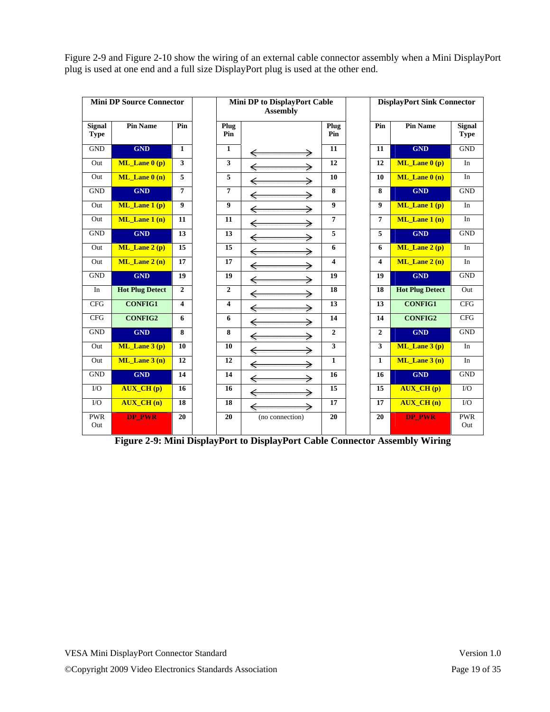| Figure 2-9 and Figure 2-10 show the wiring of an external cable connector assembly when a Mini DisplayPort |
|------------------------------------------------------------------------------------------------------------|
| plug is used at one end and a full size DisplayPort plug is used at the other end.                         |

|                              | <b>Mini DP Source Connector</b> |                         |                | Mini DP to DisplayPort Cable<br><b>Assembly</b> |                         |                | <b>DisplayPort Sink Connector</b> |                              |
|------------------------------|---------------------------------|-------------------------|----------------|-------------------------------------------------|-------------------------|----------------|-----------------------------------|------------------------------|
| <b>Signal</b><br><b>Type</b> | <b>Pin Name</b>                 | Pin                     | Plug<br>Pin    |                                                 | Plug<br>Pin             | Pin            | <b>Pin Name</b>                   | <b>Signal</b><br><b>Type</b> |
| <b>GND</b>                   | <b>GND</b>                      | $\mathbf{1}$            | $\mathbf{1}$   | ⇐<br>⇒                                          | 11                      | 11             | <b>GND</b>                        | <b>GND</b>                   |
| Out                          | $ML$ <i>Lane</i> $0(p)$         | $\mathbf{3}$            | 3              | ⇒<br>€                                          | 12                      | 12             | $ML$ <i>Lane</i> $0(p)$           | In                           |
| Out                          | $ML$ Lane $0(n)$                | $\overline{5}$          | 5              | →<br>€                                          | 10                      | 10             | $ML$ Lane $0(n)$                  | $\rm{In}$                    |
| <b>GND</b>                   | <b>GND</b>                      | $\overline{7}$          | $\overline{7}$ | ⋟                                               | 8                       | 8              | <b>GND</b>                        | <b>GND</b>                   |
| Out                          | $ML$ <i>Lane</i> 1 (p)          | $\boldsymbol{9}$        | 9              | ⋟                                               | $\boldsymbol{9}$        | 9              | $ML$ <i>Lane 1 (p)</i>            | In                           |
| Out                          | $ML$ Lane 1 (n)                 | 11                      | 11             | ⇒                                               | $\overline{7}$          | $\overline{7}$ | ML Lane $1(n)$                    | In                           |
| <b>GND</b>                   | <b>GND</b>                      | 13                      | 13             | →                                               | 5                       | 5              | <b>GND</b>                        | <b>GND</b>                   |
| Out                          | ML_Lane 2 (p)                   | 15                      | 15             | ⇒<br>€                                          | 6                       | 6              | $ML$ Lane 2 (p)                   | In                           |
| Out                          | $ML$ Lane $2(n)$                | 17                      | 17             | ⇒<br>⇐                                          | $\overline{\mathbf{4}}$ | 4              | $ML$ Lane 2 (n)                   | In                           |
| <b>GND</b>                   | <b>GND</b>                      | 19                      | 19             | ⇒<br>€                                          | 19                      | 19             | <b>GND</b>                        | <b>GND</b>                   |
| In                           | <b>Hot Plug Detect</b>          | $\overline{2}$          | $\overline{2}$ | $\Rightarrow$                                   | 18                      | 18             | <b>Hot Plug Detect</b>            | Out                          |
| <b>CFG</b>                   | <b>CONFIG1</b>                  | $\overline{\mathbf{4}}$ | 4              | ⇒                                               | 13                      | 13             | <b>CONFIG1</b>                    | <b>CFG</b>                   |
| <b>CFG</b>                   | <b>CONFIG2</b>                  | 6                       | 6              | ⇒                                               | 14                      | 14             | <b>CONFIG2</b>                    | <b>CFG</b>                   |
| <b>GND</b>                   | <b>GND</b>                      | 8                       | 8              | ⇒                                               | $\overline{2}$          | $\overline{2}$ | <b>GND</b>                        | <b>GND</b>                   |
| Out                          | $ML$ Lane $3(p)$                | 10                      | 10             | ⇒<br>€                                          | 3                       | 3              | $ML$ Lane $3(p)$                  | In                           |
| Out                          | ML Lane $3(n)$                  | 12                      | 12             | ⋟<br>€                                          | $\mathbf{1}$            | $\mathbf{1}$   | ML Lane $3(n)$                    | In                           |
| <b>GND</b>                   | <b>GND</b>                      | 14                      | 14             | ⇒<br>€                                          | 16                      | 16             | <b>GND</b>                        | <b>GND</b>                   |
| $\rm LO$                     | <b>AUX_CH(p)</b>                | 16                      | 16             | →                                               | 15                      | 15             | <b>AUX_CH(p)</b>                  | $\rm LO$                     |
| $\rm LO$                     | <b>AUX CH(n)</b>                | 18                      | 18             | ⇒                                               | 17                      | 17             | <b>AUX CH(n)</b>                  | I/O                          |
| <b>PWR</b><br>Out            | <b>DP_PWR</b>                   | 20                      | 20             | (no connection)                                 | 20                      | 20             | <b>DP PWR</b>                     | <b>PWR</b><br>Out            |

**Figure 2-9: Mini DisplayPort to DisplayPort Cable Connector Assembly Wiring**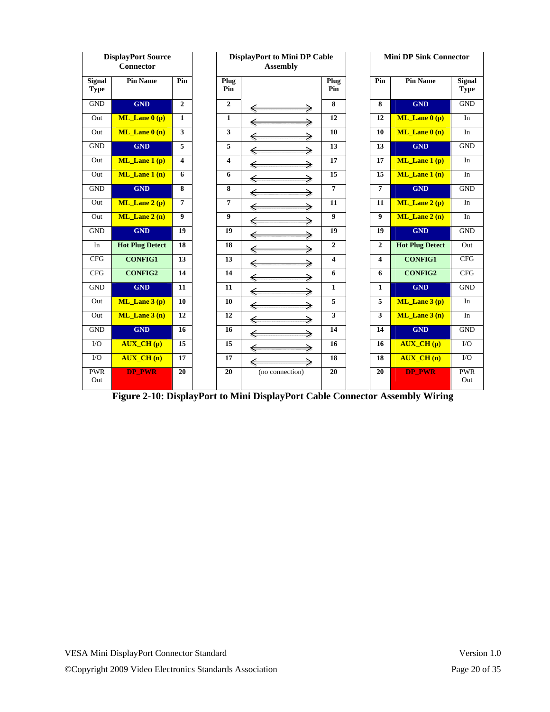| <b>DisplayPort Source</b><br><b>Connector</b> |                         | <b>DisplayPort to Mini DP Cable</b><br><b>Assembly</b> |                  |                 | <b>Mini DP Sink Connector</b> |                  |                        |                              |
|-----------------------------------------------|-------------------------|--------------------------------------------------------|------------------|-----------------|-------------------------------|------------------|------------------------|------------------------------|
| <b>Signal</b><br><b>Type</b>                  | <b>Pin Name</b>         | Pin                                                    | Plug<br>Pin      |                 | Plug<br>Pin                   | Pin              | <b>Pin Name</b>        | <b>Signal</b><br><b>Type</b> |
| <b>GND</b>                                    | <b>GND</b>              | $\mathbf{2}$                                           | $\overline{2}$   | ⇐               | 8                             | 8                | <b>GND</b>             | <b>GND</b>                   |
| Out                                           | $ML$ Lane $0(p)$        | $\mathbf{1}$                                           | $\mathbf{1}$     | €               | 12                            | 12               | ML Lane $0(p)$         | In                           |
| Out                                           | $ML$ <i>Lane</i> $0(n)$ | 3                                                      | 3                | ←               | 10                            | 10               | $ML$ Lane $0(n)$       | In                           |
| <b>GND</b>                                    | <b>GND</b>              | 5                                                      | 5                | ⇒               | 13                            | 13               | <b>GND</b>             | <b>GND</b>                   |
| Out                                           | $ML$ Lane 1 (p)         | $\overline{\mathbf{4}}$                                | 4                | ⋟               | 17                            | 17               | $ML$ Lane 1 (p)        | In                           |
| Out                                           | $ML$ Lane 1 (n)         | 6                                                      | 6                | ⇒               | 15                            | 15               | $ML$ Lane 1 (n)        | In                           |
| <b>GND</b>                                    | <b>GND</b>              | 8                                                      | 8                |                 | $\overline{7}$                | $\overline{7}$   | <b>GND</b>             | <b>GND</b>                   |
| Out                                           | $ML$ Lane 2 (p)         | $\overline{7}$                                         | $\overline{7}$   | ⇒               | 11                            | 11               | $ML$ Lane 2 (p)        | In                           |
| Out                                           | $ML$ Lane $2(n)$        | $\boldsymbol{9}$                                       | $\boldsymbol{9}$ | ⇒<br>⇐          | $\overline{9}$                | $\boldsymbol{9}$ | $ML$ Lane $2(n)$       | In                           |
| <b>GND</b>                                    | <b>GND</b>              | 19                                                     | 19               | ⋟<br>€          | 19                            | 19               | <b>GND</b>             | <b>GND</b>                   |
| In                                            | <b>Hot Plug Detect</b>  | 18                                                     | 18               | ⋟<br>€          | $\mathbf{2}$                  | $\overline{2}$   | <b>Hot Plug Detect</b> | Out                          |
| <b>CFG</b>                                    | <b>CONFIG1</b>          | 13                                                     | 13               | ⇒               | $\overline{\mathbf{4}}$       | 4                | <b>CONFIG1</b>         | <b>CFG</b>                   |
| <b>CFG</b>                                    | <b>CONFIG2</b>          | 14                                                     | 14               | ⋟               | 6                             | 6                | <b>CONFIG2</b>         | <b>CFG</b>                   |
| <b>GND</b>                                    | <b>GND</b>              | 11                                                     | 11               |                 | $\mathbf{1}$                  | $\mathbf{1}$     | <b>GND</b>             | <b>GND</b>                   |
| Out                                           | $ML$ Lane 3 (p)         | 10                                                     | 10               | ⇒               | 5                             | 5                | $ML$ Lane 3 (p)        | In                           |
| Out                                           | ML Lane $3(n)$          | 12                                                     | 12               | ⇒               | 3                             | 3                | ML Lane $3(n)$         | In                           |
| <b>GND</b>                                    | <b>GND</b>              | 16                                                     | 16               | ⇒               | 14                            | 14               | <b>GND</b>             | <b>GND</b>                   |
| $\rm LO$                                      | <b>AUX_CH(p)</b>        | 15                                                     | 15               | ⇒<br>€          | 16                            | 16               | <b>AUX_CH</b> (p)      | $\rm LO$                     |
| $\rm LO$                                      | <b>AUX CH(n)</b>        | 17                                                     | 17               | ⇒               | 18                            | 18               | <b>AUX CH(n)</b>       | I/O                          |
| <b>PWR</b><br>Out                             | <b>DP_PWR</b>           | 20                                                     | 20               | (no connection) | 20                            | 20               | <b>DP_PWR</b>          | <b>PWR</b><br>Out            |

**Figure 2-10: DisplayPort to Mini DisplayPort Cable Connector Assembly Wiring**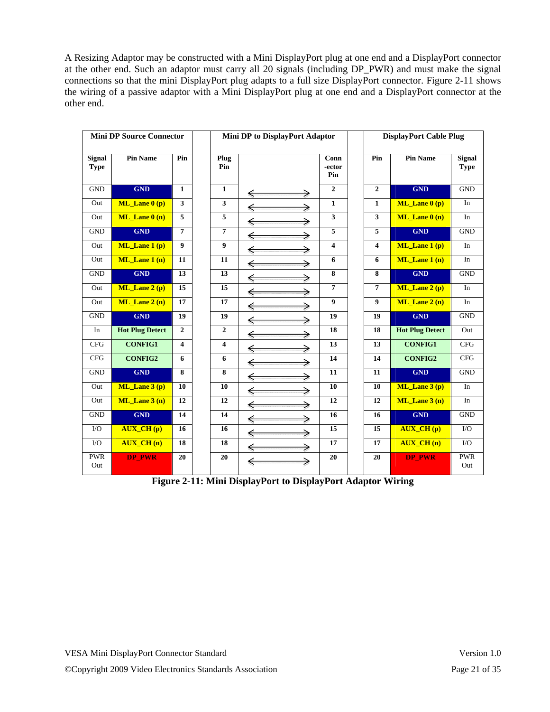A Resizing Adaptor may be constructed with a Mini DisplayPort plug at one end and a DisplayPort connector at the other end. Such an adaptor must carry all 20 signals (including DP\_PWR) and must make the signal connections so that the mini DisplayPort plug adapts to a full size DisplayPort connector. Figure 2-11 shows the wiring of a passive adaptor with a Mini DisplayPort plug at one end and a DisplayPort connector at the other end.

| <b>Mini DP Source Connector</b> |                         |                | Mini DP to DisplayPort Adaptor |                   |                         | <b>DisplayPort Cable Plug</b> |                         |                              |
|---------------------------------|-------------------------|----------------|--------------------------------|-------------------|-------------------------|-------------------------------|-------------------------|------------------------------|
| <b>Signal</b><br><b>Type</b>    | <b>Pin Name</b>         | Pin            | Plug<br>Pin                    |                   | Conn<br>-ector<br>Pin   | Pin                           | <b>Pin Name</b>         | <b>Signal</b><br><b>Type</b> |
| <b>GND</b>                      | <b>GND</b>              | $\mathbf{1}$   | $\mathbf{1}$                   | ⇐                 | $\overline{2}$          | $\overline{2}$                | <b>GND</b>              | <b>GND</b>                   |
| Out                             | $ML$ <i>Lane</i> $0(p)$ | 3 <sup>1</sup> | $\overline{\mathbf{3}}$        | $\Leftarrow$      | $\mathbf{1}$            | $\mathbf{1}$                  | $ML$ <i>Lane</i> $0(p)$ | In                           |
| Out                             | $ML$ Lane $0(n)$        | 5              | 5                              | €                 | $\overline{\mathbf{3}}$ | $\overline{\mathbf{3}}$       | $ML$ Lane $0(n)$        | In                           |
| <b>GND</b>                      | <b>GND</b>              | $\overline{7}$ | $\overline{7}$                 | ⋟<br>€            | 5                       | 5                             | <b>GND</b>              | <b>GND</b>                   |
| Out                             | $ML$ Lane 1 (p)         | 9 <sup>°</sup> | 9                              | ⇒<br>€            | $\overline{4}$          | $\overline{\mathbf{4}}$       | ML_Lane 1 (p)           | In                           |
| Out                             | $ML$ Lane 1 (n)         | 11             | 11                             | →<br>€            | 6                       | 6                             | $ML$ Lane 1 (n)         | In                           |
| <b>GND</b>                      | <b>GND</b>              | 13             | 13                             | ⇒<br>$\Leftarrow$ | $\overline{\mathbf{8}}$ | 8                             | <b>GND</b>              | <b>GND</b>                   |
| Out                             | $ML$ Lane $2(p)$        | 15             | 15                             | ⇒                 | $\overline{7}$          | $\overline{7}$                | ML Lane $2(p)$          | In                           |
| Out                             | ML Lane $2(n)$          | 17             | 17                             | ⇒<br>€            | 9                       | $\boldsymbol{9}$              | $ML$ Lane $2(n)$        | In                           |
| <b>GND</b>                      | <b>GND</b>              | 19             | 19                             | ⇒<br>€            | 19                      | 19                            | <b>GND</b>              | <b>GND</b>                   |
| In                              | <b>Hot Plug Detect</b>  | $\overline{2}$ | $\overline{2}$                 | ⇒<br>←            | 18                      | 18                            | <b>Hot Plug Detect</b>  | Out                          |
| <b>CFG</b>                      | <b>CONFIG1</b>          | 4              | 4                              | ⇐<br>⇒            | 13                      | 13                            | <b>CONFIG1</b>          | <b>CFG</b>                   |
| CFG                             | <b>CONFIG2</b>          | 6              | 6                              | $\Leftarrow$<br>⇒ | $\overline{14}$         | 14                            | <b>CONFIG2</b>          | CFG                          |
| <b>GND</b>                      | <b>GND</b>              | 8              | 8                              |                   | 11                      | 11                            | <b>GND</b>              | <b>GND</b>                   |
| Out                             | $ML$ Lane 3 (p)         | 10             | 10                             | ⇒                 | 10                      | 10                            | $ML$ Lane 3 (p)         | In                           |
| Out                             | $ML$ Lane $3(n)$        | 12             | 12                             | ⇒                 | 12                      | 12                            | ML Lane $3(n)$          | In                           |
| <b>GND</b>                      | <b>GND</b>              | 14             | 14                             | ⋟                 | 16                      | 16                            | <b>GND</b>              | <b>GND</b>                   |
| $\rm LO$                        | <b>AUX_CH(p)</b>        | 16             | 16                             | →                 | 15                      | 15                            | <b>AUX_CH</b> (p)       | $\rm LO$                     |
| $\rm LO$                        | <b>AUX CH(n)</b>        | 18             | 18                             | ⇒                 | 17                      | 17                            | <b>AUX CH(n)</b>        | $\rm LO$                     |
| <b>PWR</b><br>Out               | <b>DP PWR</b>           | 20             | 20                             | ⇒                 | 20                      | 20                            | <b>DP PWR</b>           | <b>PWR</b><br>Out            |

**Figure 2-11: Mini DisplayPort to DisplayPort Adaptor Wiring**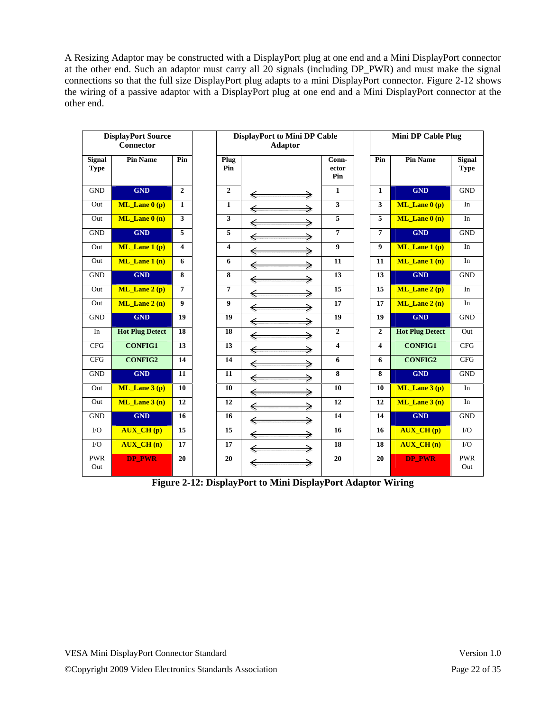A Resizing Adaptor may be constructed with a DisplayPort plug at one end and a Mini DisplayPort connector at the other end. Such an adaptor must carry all 20 signals (including DP\_PWR) and must make the signal connections so that the full size DisplayPort plug adapts to a mini DisplayPort connector. Figure 2-12 shows the wiring of a passive adaptor with a DisplayPort plug at one end and a Mini DisplayPort connector at the other end.

|                              | <b>DisplayPort Source</b><br>Connector |                         |  | <b>DisplayPort to Mini DP Cable</b><br><b>Adaptor</b> |        |                         |                         | <b>Mini DP Cable Plug</b>                             |                              |  |
|------------------------------|----------------------------------------|-------------------------|--|-------------------------------------------------------|--------|-------------------------|-------------------------|-------------------------------------------------------|------------------------------|--|
|                              |                                        |                         |  |                                                       |        |                         |                         |                                                       |                              |  |
| <b>Signal</b><br><b>Type</b> | <b>Pin Name</b>                        | Pin                     |  | Plug<br>Pin                                           |        | Conn-<br>ector<br>Pin   | Pin                     | <b>Pin Name</b>                                       | <b>Signal</b><br><b>Type</b> |  |
| <b>GND</b>                   | <b>GND</b>                             | $\mathbf{2}$            |  | $\mathbf{2}$                                          | ⋟      | $\mathbf{1}$            | $\mathbf{1}$            | <b>GND</b>                                            | <b>GND</b>                   |  |
| Out                          | $ML$ Lane $0(p)$                       | $\mathbf{1}$            |  | $\mathbf{1}$                                          | ←      | $\overline{\mathbf{3}}$ | 3                       | $ML$ Lane $0(p)$                                      | In                           |  |
| Out                          | $ML$ Lane $0(n)$                       | $\overline{\mathbf{3}}$ |  | $\mathbf{3}$                                          | ⇒<br>€ | $\overline{5}$          | $\overline{5}$          | $ML$ Lane $0(n)$                                      | In                           |  |
| <b>GND</b>                   | <b>GND</b>                             | 5                       |  | 5                                                     | ⇒      | $\overline{7}$          | $\overline{7}$          | <b>GND</b>                                            | <b>GND</b>                   |  |
| Out                          | $ML$ Lane 1 (p)                        | 4                       |  | $\overline{\mathbf{4}}$                               | ⇒      | $\boldsymbol{9}$        | $\boldsymbol{9}$        | ML_Lane 1 (p)                                         | In                           |  |
| Out                          | $ML$ Lane 1 (n)                        | 6                       |  | 6                                                     | ⇒<br>€ | 11                      | 11                      | $\overline{\text{ML}}$ Lane $\overline{\text{1}}$ (n) | In                           |  |
| <b>GND</b>                   | <b>GND</b>                             | 8                       |  | 8                                                     | ⇒<br>€ | 13                      | 13                      | <b>GND</b>                                            | <b>GND</b>                   |  |
| Out                          | $ML$ Lane $2(p)$                       | 7                       |  | $\overline{7}$                                        | €<br>⋟ | 15                      | 15                      | $ML$ <i>Lane 2 (p)</i>                                | In                           |  |
| Out                          | $ML$ Lane $2(n)$                       | $\overline{9}$          |  | $\boldsymbol{9}$                                      | →<br>€ | $\overline{17}$         | 17                      | $ML$ Lane $2(n)$                                      | In                           |  |
| <b>GND</b>                   | <b>GND</b>                             | 19                      |  | 19                                                    | ⇒      | 19                      | 19                      | <b>GND</b>                                            | <b>GND</b>                   |  |
| In                           | <b>Hot Plug Detect</b>                 | 18                      |  | 18                                                    |        | $\overline{2}$          | $\overline{2}$          | <b>Hot Plug Detect</b>                                | Out                          |  |
| <b>CFG</b>                   | <b>CONFIG1</b>                         | 13                      |  | 13                                                    | →      | $\overline{\mathbf{4}}$ | $\overline{\mathbf{4}}$ | <b>CONFIG1</b>                                        | CFG                          |  |
| <b>CFG</b>                   | <b>CONFIG2</b>                         | 14                      |  | 14                                                    | ⋟      | 6                       | 6                       | <b>CONFIG2</b>                                        | CFG                          |  |
| <b>GND</b>                   | <b>GND</b>                             | $\overline{11}$         |  | 11                                                    | →      | $\overline{\mathbf{8}}$ | 8                       | <b>GND</b>                                            | <b>GND</b>                   |  |
| Out                          | $ML$ <i>Lane</i> $3(p)$                | 10                      |  | 10                                                    | ⇒      | 10                      | 10                      | $ML$ Lane 3 (p)                                       | In                           |  |
| Out                          | ML Lane $3(n)$                         | 12                      |  | 12                                                    | →      | 12                      | 12                      | ML Lane $3(n)$                                        | $\rm{In}$                    |  |
| <b>GND</b>                   | <b>GND</b>                             | 16                      |  | 16                                                    | ⇒      | 14                      | 14                      | <b>GND</b>                                            | <b>GND</b>                   |  |
| $\rm LO$                     | <b>AUX_CH(p)</b>                       | 15                      |  | 15                                                    | ⇒<br>← | 16                      | 16                      | <b>AUX_CH(p)</b>                                      | $\rm LO$                     |  |
| $\rm LO$                     | <b>AUX_CH(n)</b>                       | 17                      |  | 17                                                    | ⇒      | 18                      | 18                      | <b>AUX CH(n)</b>                                      | $\rm LO$                     |  |
| <b>PWR</b><br>Out            | <b>DP_PWR</b>                          | 20                      |  | 20                                                    | ⇒      | 20                      | 20                      | <b>DP_PWR</b>                                         | <b>PWR</b><br>Out            |  |

**Figure 2-12: DisplayPort to Mini DisplayPort Adaptor Wiring**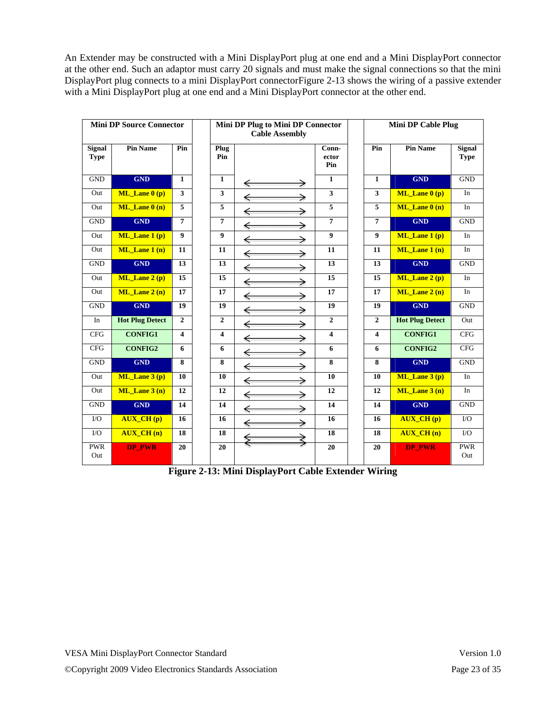An Extender may be constructed with a Mini DisplayPort plug at one end and a Mini DisplayPort connector at the other end. Such an adaptor must carry 20 signals and must make the signal connections so that the mini DisplayPort plug connects to a mini DisplayPort connectorFigure 2-13 shows the wiring of a passive extender with a Mini DisplayPort plug at one end and a Mini DisplayPort connector at the other end.

| <b>Mini DP Source Connector</b> |                        |                         | Mini DP Plug to Mini DP Connector<br><b>Cable Assembly</b> |        | <b>Mini DP Cable Plug</b> |                         |                        |                              |
|---------------------------------|------------------------|-------------------------|------------------------------------------------------------|--------|---------------------------|-------------------------|------------------------|------------------------------|
| <b>Signal</b><br><b>Type</b>    | <b>Pin Name</b>        | Pin                     | Plug<br>Pin                                                |        | Conn-<br>ector<br>Pin     | Pin                     | <b>Pin Name</b>        | <b>Signal</b><br><b>Type</b> |
| <b>GND</b>                      | <b>GND</b>             | $\mathbf{1}$            | $\mathbf{1}$                                               | €      | $\mathbf{1}$              | $\mathbf{1}$            | <b>GND</b>             | <b>GND</b>                   |
| Out                             | $ML$ Lane $0(p)$       | $\mathbf{3}$            | $\overline{\mathbf{3}}$                                    | €      | $\overline{\mathbf{3}}$   | 3                       | $ML$ Lane $0(p)$       | In                           |
| Out                             | $ML$ Lane $0(n)$       | 5                       | 5                                                          |        | 5                         | 5                       | $ML$ Lane $0(n)$       | In                           |
| <b>GND</b>                      | <b>GND</b>             | $\overline{7}$          | 7                                                          |        | $\overline{7}$            | $\overline{7}$          | <b>GND</b>             | <b>GND</b>                   |
| Out                             | $ML$ Lane 1 (p)        | $\boldsymbol{9}$        | 9                                                          | €      | 9                         | $\boldsymbol{9}$        | $ML$ Lane 1 (p)        | In                           |
| Out                             | $ML$ Lane 1 (n)        | 11                      | 11                                                         |        | 11                        | 11                      | $ML$ Lane 1 (n)        | $\rm{In}$                    |
| <b>GND</b>                      | <b>GND</b>             | 13                      | 13                                                         | €      | 13                        | 13                      | <b>GND</b>             | <b>GND</b>                   |
| Out                             | $ML$ Lane $2(p)$       | 15                      | 15                                                         |        | 15                        | 15                      | ML_Lane 2 (p)          | In                           |
| Out                             | ML Lane $2(n)$         | 17                      | 17                                                         |        | 17                        | 17                      | ML Lane $2(n)$         | In                           |
| <b>GND</b>                      | <b>GND</b>             | 19                      | 19                                                         |        | 19                        | 19                      | <b>GND</b>             | <b>GND</b>                   |
| In                              | <b>Hot Plug Detect</b> | $\overline{2}$          | $\overline{2}$                                             |        | $\mathbf{2}$              | $\mathbf{2}$            | <b>Hot Plug Detect</b> | Out                          |
| CFG                             | <b>CONFIG1</b>         | $\overline{\mathbf{4}}$ | $\overline{\mathbf{4}}$                                    |        | $\overline{\mathbf{4}}$   | $\overline{\mathbf{4}}$ | <b>CONFIG1</b>         | CFG                          |
| <b>CFG</b>                      | <b>CONFIG2</b>         | 6                       | 6                                                          |        | 6                         | 6                       | <b>CONFIG2</b>         | <b>CFG</b>                   |
| <b>GND</b>                      | <b>GND</b>             | 8                       | 8                                                          |        | 8                         | 8                       | <b>GND</b>             | <b>GND</b>                   |
| Out                             | ML Lane $3(p)$         | 10                      | 10                                                         |        | 10                        | 10                      | ML Lane $3(p)$         | In                           |
| Out                             | ML Lane $3(n)$         | 12                      | 12                                                         | →<br>⇐ | 12                        | 12                      | ML Lane $3(n)$         | In                           |
| <b>GND</b>                      | <b>GND</b>             | 14                      | 14                                                         | ⇒<br>← | 14                        | 14                      | <b>GND</b>             | <b>GND</b>                   |
| $\rm LO$                        | <b>AUX_CH(p)</b>       | 16                      | 16                                                         | →<br>⇐ | 16                        | 16                      | <b>AUX CH(p)</b>       | I/O                          |
| $\rm LO$                        | <b>AUX_CH(n)</b>       | 18                      | 18                                                         |        | 18                        | 18                      | <b>AUX CH(n)</b>       | I/O                          |
| <b>PWR</b><br>Out               | <b>DP PWR</b>          | 20                      | 20                                                         |        | 20                        | 20                      | <b>DP PWR</b>          | <b>PWR</b><br>Out            |

**Figure 2-13: Mini DisplayPort Cable Extender Wiring**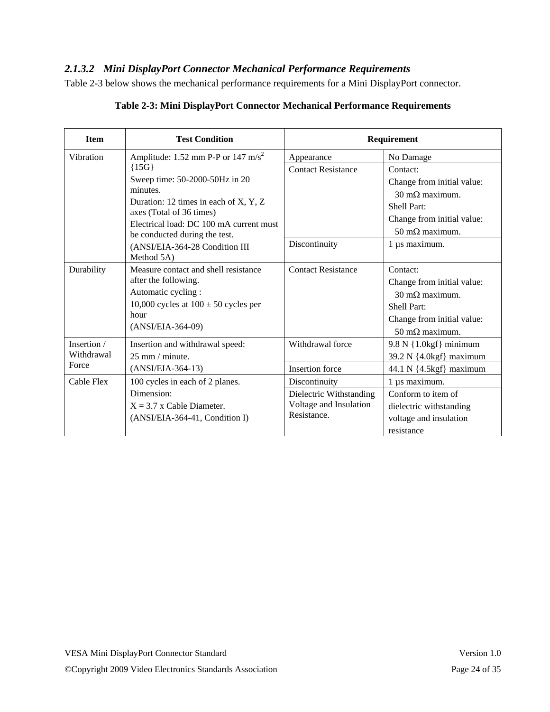#### *2.1.3.2 Mini DisplayPort Connector Mechanical Performance Requirements*

Table 2-3 below shows the mechanical performance requirements for a Mini DisplayPort connector.

| <b>Item</b> | <b>Test Condition</b>                                             |                           | Requirement                   |  |  |  |
|-------------|-------------------------------------------------------------------|---------------------------|-------------------------------|--|--|--|
| Vibration   | Amplitude: 1.52 mm P-P or 147 m/s <sup>2</sup>                    | Appearance                | No Damage                     |  |  |  |
|             | $\{15G\}$                                                         | <b>Contact Resistance</b> | Contact:                      |  |  |  |
|             | Sweep time: 50-2000-50Hz in 20                                    |                           | Change from initial value:    |  |  |  |
|             | minutes.                                                          |                           | $30 \text{ m}\Omega$ maximum. |  |  |  |
|             | Duration: 12 times in each of X, Y, Z<br>axes (Total of 36 times) |                           | Shell Part:                   |  |  |  |
|             | Electrical load: DC 100 mA current must                           |                           | Change from initial value:    |  |  |  |
|             | be conducted during the test.                                     |                           | $50 \text{ m}\Omega$ maximum. |  |  |  |
|             | (ANSI/EIA-364-28 Condition III                                    | Discontinuity             | 1 µs maximum.                 |  |  |  |
|             | Method 5A)                                                        |                           |                               |  |  |  |
| Durability  | Measure contact and shell resistance                              | <b>Contact Resistance</b> | Contact:                      |  |  |  |
|             | after the following.                                              |                           | Change from initial value:    |  |  |  |
|             | Automatic cycling:                                                |                           | $30 \text{ m}\Omega$ maximum. |  |  |  |
|             | 10,000 cycles at $100 \pm 50$ cycles per<br>hour                  |                           | Shell Part:                   |  |  |  |
|             | (ANSI/EIA-364-09)                                                 |                           | Change from initial value:    |  |  |  |
|             |                                                                   |                           | $50 \text{ m}\Omega$ maximum. |  |  |  |
| Insertion / | Insertion and withdrawal speed:                                   | Withdrawal force          | $9.8 N$ {1.0kgf} minimum      |  |  |  |
| Withdrawal  | $25 \text{ mm} / \text{minute}$ .                                 |                           | 39.2 N {4.0kgf} maximum       |  |  |  |
| Force       | (ANSI/EIA-364-13)                                                 | <b>Insertion</b> force    | 44.1 N {4.5kgf} maximum       |  |  |  |
| Cable Flex  | 100 cycles in each of 2 planes.                                   | Discontinuity             | 1 µs maximum.                 |  |  |  |
|             | Dimension:                                                        | Dielectric Withstanding   | Conform to item of            |  |  |  |
|             | $X = 3.7$ x Cable Diameter.                                       | Voltage and Insulation    | dielectric withstanding       |  |  |  |
|             | (ANSI/EIA-364-41, Condition I)                                    | Resistance.               | voltage and insulation        |  |  |  |
|             |                                                                   |                           | resistance                    |  |  |  |

### **Table 2-3: Mini DisplayPort Connector Mechanical Performance Requirements**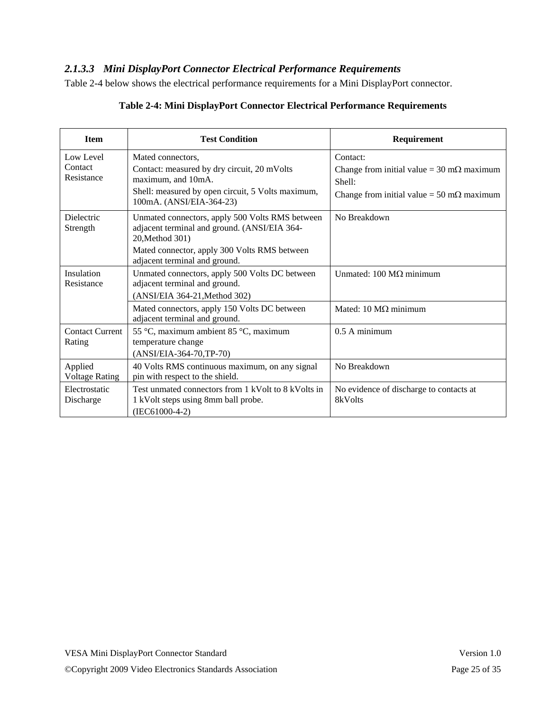### *2.1.3.3 Mini DisplayPort Connector Electrical Performance Requirements*

Table 2-4 below shows the electrical performance requirements for a Mini DisplayPort connector.

| <b>Item</b>                        | <b>Test Condition</b>                                                                                                                                                                               | Requirement                                                                                                                         |
|------------------------------------|-----------------------------------------------------------------------------------------------------------------------------------------------------------------------------------------------------|-------------------------------------------------------------------------------------------------------------------------------------|
| Low Level<br>Contact<br>Resistance | Mated connectors.<br>Contact: measured by dry circuit, 20 mVolts<br>maximum, and 10mA.<br>Shell: measured by open circuit, 5 Volts maximum,<br>100mA. (ANSI/EIA-364-23)                             | Contact:<br>Change from initial value = $30 \text{ m}\Omega$ maximum<br>Shell:<br>Change from initial value = 50 m $\Omega$ maximum |
| <b>Dielectric</b><br>Strength      | Unmated connectors, apply 500 Volts RMS between<br>adjacent terminal and ground. (ANSI/EIA 364-<br>20, Method 301)<br>Mated connector, apply 300 Volts RMS between<br>adjacent terminal and ground. | No Breakdown                                                                                                                        |
| Insulation<br>Resistance           | Unmated connectors, apply 500 Volts DC between<br>adjacent terminal and ground.<br>(ANSI/EIA 364-21, Method 302)                                                                                    | Unmated: $100 \text{ M}\Omega$ minimum                                                                                              |
|                                    | Mated connectors, apply 150 Volts DC between<br>adjacent terminal and ground.                                                                                                                       | Mated: 10 $M\Omega$ minimum                                                                                                         |
| <b>Contact Current</b><br>Rating   | 55 °C, maximum ambient 85 °C, maximum<br>temperature change<br>(ANSI/EIA-364-70,TP-70)                                                                                                              | 0.5 A minimum                                                                                                                       |
| Applied<br><b>Voltage Rating</b>   | 40 Volts RMS continuous maximum, on any signal<br>pin with respect to the shield.                                                                                                                   | No Breakdown                                                                                                                        |
| Electrostatic<br>Discharge         | Test unmated connectors from 1 kVolt to 8 kVolts in<br>1 kVolt steps using 8mm ball probe.<br>$(IEC61000-4-2)$                                                                                      | No evidence of discharge to contacts at<br>8kVolts                                                                                  |

#### **Table 2-4: Mini DisplayPort Connector Electrical Performance Requirements**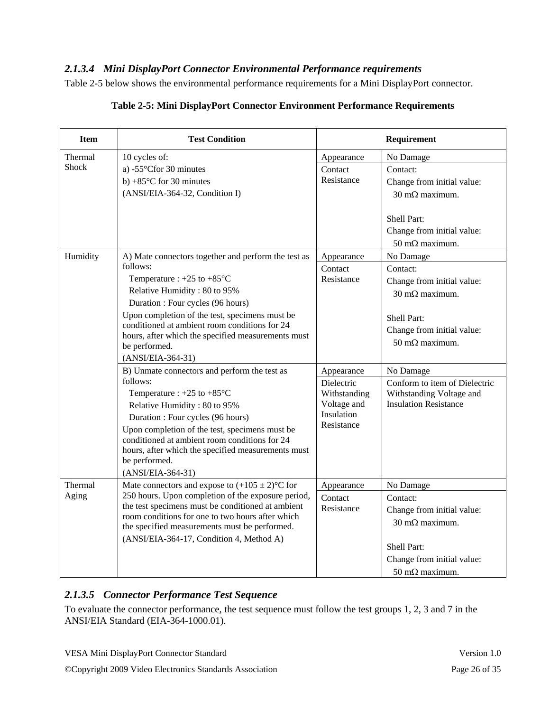### *2.1.3.4 Mini DisplayPort Connector Environmental Performance requirements*

Table 2-5 below shows the environmental performance requirements for a Mini DisplayPort connector.

| <b>Item</b>             | <b>Test Condition</b>                                                                                                                                                                                                                                                                                                                                                         |                                                                                     | Requirement                                                                                                                                                                                         |
|-------------------------|-------------------------------------------------------------------------------------------------------------------------------------------------------------------------------------------------------------------------------------------------------------------------------------------------------------------------------------------------------------------------------|-------------------------------------------------------------------------------------|-----------------------------------------------------------------------------------------------------------------------------------------------------------------------------------------------------|
| Thermal<br><b>Shock</b> | 10 cycles of:<br>a) - $55^{\circ}$ Cfor 30 minutes<br>b) +85 $\degree$ C for 30 minutes<br>(ANSI/EIA-364-32, Condition I)                                                                                                                                                                                                                                                     | Appearance<br>Contact<br>Resistance                                                 | No Damage<br>Contact:<br>Change from initial value:<br>30 m $\Omega$ maximum.<br>Shell Part:<br>Change from initial value:                                                                          |
| Humidity                | A) Mate connectors together and perform the test as<br>follows:<br>Temperature : $+25$ to $+85^{\circ}$ C<br>Relative Humidity: 80 to 95%<br>Duration : Four cycles (96 hours)<br>Upon completion of the test, specimens must be<br>conditioned at ambient room conditions for 24<br>hours, after which the specified measurements must<br>be performed.<br>(ANSI/EIA-364-31) | Appearance<br>Contact<br>Resistance                                                 | $50 \text{ m}\Omega$ maximum.<br>No Damage<br>Contact:<br>Change from initial value:<br>$30 \text{ m}\Omega$ maximum.<br>Shell Part:<br>Change from initial value:<br>$50 \text{ m}\Omega$ maximum. |
|                         | B) Unmate connectors and perform the test as<br>follows:<br>Temperature : $+25$ to $+85^{\circ}$ C<br>Relative Humidity: 80 to 95%<br>Duration : Four cycles (96 hours)<br>Upon completion of the test, specimens must be<br>conditioned at ambient room conditions for 24<br>hours, after which the specified measurements must<br>be performed.<br>(ANSI/EIA-364-31)        | Appearance<br>Dielectric<br>Withstanding<br>Voltage and<br>Insulation<br>Resistance | No Damage<br>Conform to item of Dielectric<br>Withstanding Voltage and<br><b>Insulation Resistance</b>                                                                                              |
| Thermal<br>Aging        | Mate connectors and expose to $(+105 \pm 2)$ °C for<br>250 hours. Upon completion of the exposure period,<br>the test specimens must be conditioned at ambient<br>room conditions for one to two hours after which<br>the specified measurements must be performed.<br>(ANSI/EIA-364-17, Condition 4, Method A)                                                               | Appearance<br>Contact<br>Resistance                                                 | No Damage<br>Contact:<br>Change from initial value:<br>$30 \text{ m}\Omega$ maximum.<br>Shell Part:<br>Change from initial value:<br>$50 \text{ m}\Omega$ maximum.                                  |

#### **Table 2-5: Mini DisplayPort Connector Environment Performance Requirements**

#### *2.1.3.5 Connector Performance Test Sequence*

To evaluate the connector performance, the test sequence must follow the test groups 1, 2, 3 and 7 in the ANSI/EIA Standard (EIA-364-1000.01).

VESA Mini DisplayPort Connector Standard Version 1.0

©Copyright 2009 Video Electronics Standards Association Page 26 of 35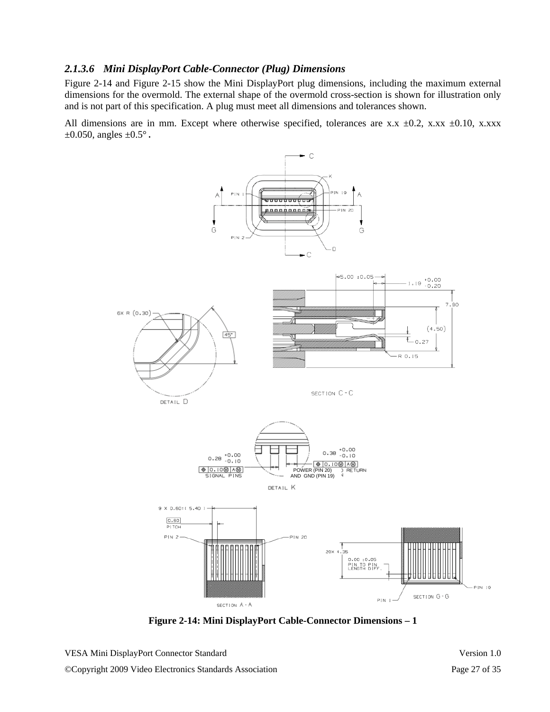#### *2.1.3.6 Mini DisplayPort Cable-Connector (Plug) Dimensions*

Figure 2-14 and Figure 2-15 show the Mini DisplayPort plug dimensions, including the maximum external dimensions for the overmold. The external shape of the overmold cross-section is shown for illustration only and is not part of this specification. A plug must meet all dimensions and tolerances shown.

All dimensions are in mm. Except where otherwise specified, tolerances are x.x  $\pm 0.2$ , x.xx  $\pm 0.10$ , x.xxx  $\pm 0.050$ , angles  $\pm 0.5^{\circ}$ .



**Figure 2-14: Mini DisplayPort Cable-Connector Dimensions – 1**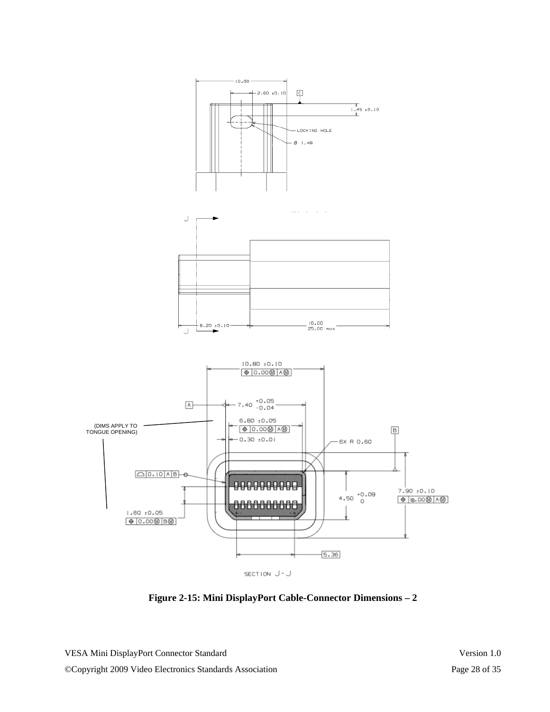

**Figure 2-15: Mini DisplayPort Cable-Connector Dimensions – 2**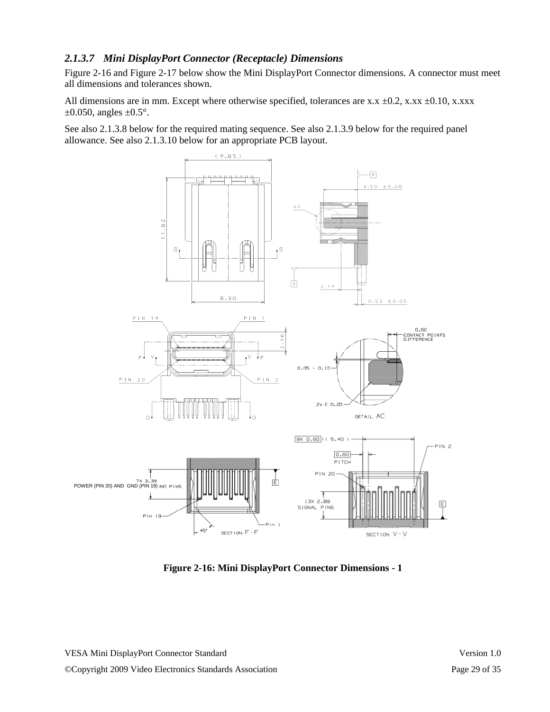#### *2.1.3.7 Mini DisplayPort Connector (Receptacle) Dimensions*

Figure 2-16 and Figure 2-17 below show the Mini DisplayPort Connector dimensions. A connector must meet all dimensions and tolerances shown.

All dimensions are in mm. Except where otherwise specified, tolerances are x.x  $\pm$ 0.2, x.xx  $\pm$ 0.10, x.xxx  $\pm 0.050$ , angles  $\pm 0.5^{\circ}$ .

See also 2.1.3.8 below for the required mating sequence. See also 2.1.3.9 below for the required panel allowance. See also 2.1.3.10 below for an appropriate PCB layout.



**Figure 2-16: Mini DisplayPort Connector Dimensions - 1**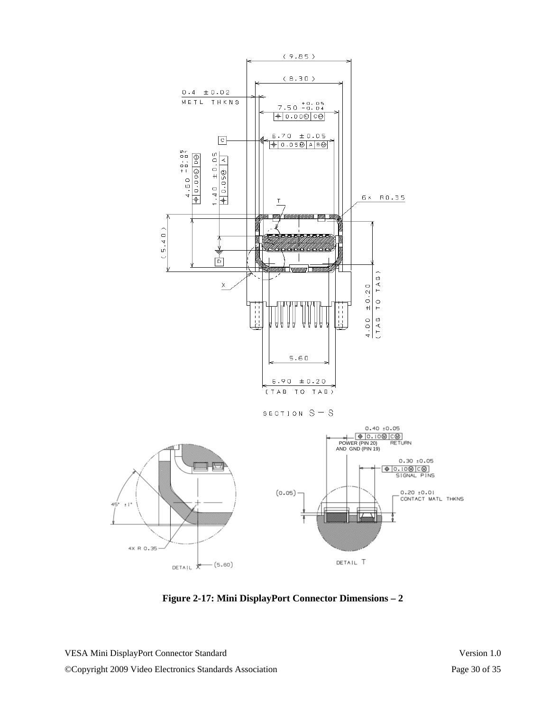

**Figure 2-17: Mini DisplayPort Connector Dimensions – 2**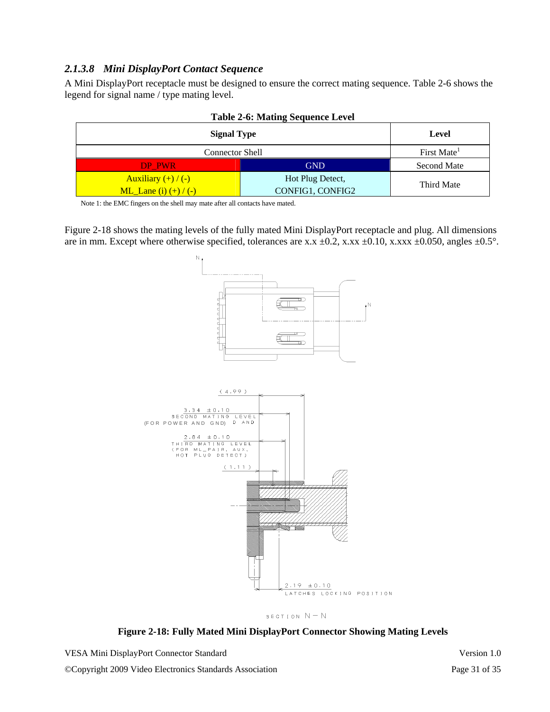#### *2.1.3.8 Mini DisplayPort Contact Sequence*

A Mini DisplayPort receptacle must be designed to ensure the correct mating sequence. Table 2-6 shows the legend for signal name / type mating level.

| <b>Signal Type</b>                                  | Level                                |                         |
|-----------------------------------------------------|--------------------------------------|-------------------------|
| <b>Connector Shell</b>                              |                                      | First Mate <sup>1</sup> |
| DP PWR                                              | <b>GND</b>                           | <b>Second Mate</b>      |
| Auxiliary $(+)/(-)$<br><b>ML_Lane</b> (i) $(+)/(-)$ | Hot Plug Detect,<br>CONFIG1, CONFIG2 | Third Mate              |



Note 1: the EMC fingers on the shell may mate after all contacts have mated.

Figure 2-18 shows the mating levels of the fully mated Mini DisplayPort receptacle and plug. All dimensions are in mm. Except where otherwise specified, tolerances are x.x  $\pm$ 0.2, x.xx  $\pm$ 0.10, x.xxx  $\pm$ 0.050, angles  $\pm$ 0.5°.



SECTION  $N = N$ 

**Figure 2-18: Fully Mated Mini DisplayPort Connector Showing Mating Levels**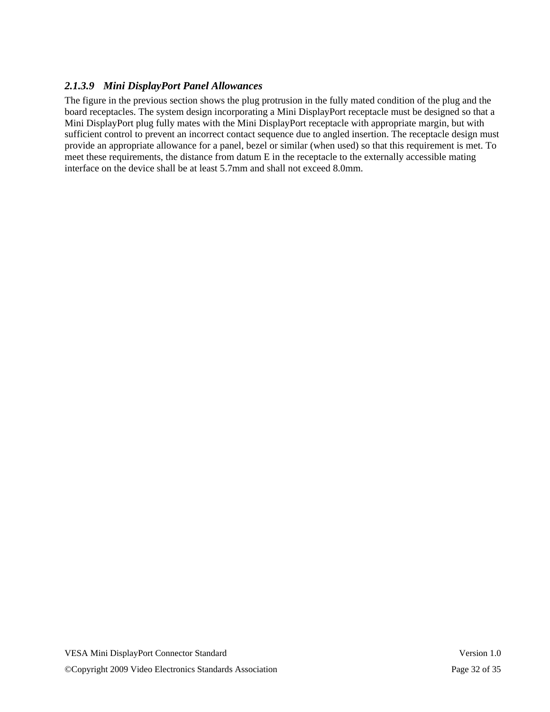### *2.1.3.9 Mini DisplayPort Panel Allowances*

The figure in the previous section shows the plug protrusion in the fully mated condition of the plug and the board receptacles. The system design incorporating a Mini DisplayPort receptacle must be designed so that a Mini DisplayPort plug fully mates with the Mini DisplayPort receptacle with appropriate margin, but with sufficient control to prevent an incorrect contact sequence due to angled insertion. The receptacle design must provide an appropriate allowance for a panel, bezel or similar (when used) so that this requirement is met. To meet these requirements, the distance from datum E in the receptacle to the externally accessible mating interface on the device shall be at least 5.7mm and shall not exceed 8.0mm.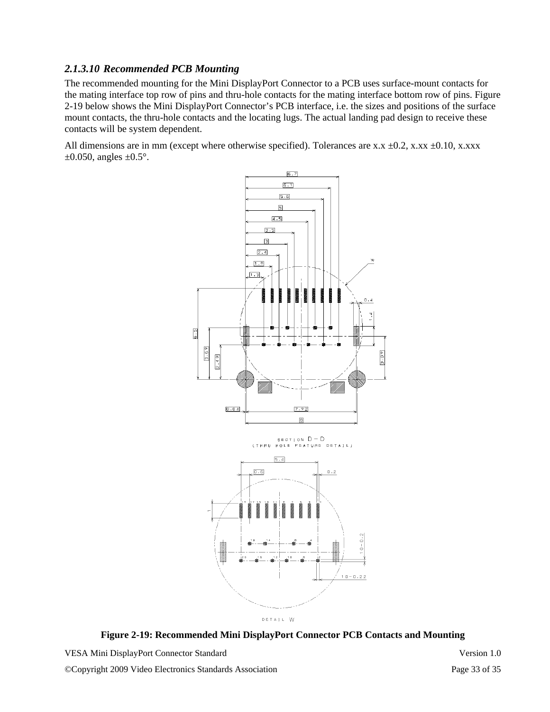#### *2.1.3.10 Recommended PCB Mounting*

The recommended mounting for the Mini DisplayPort Connector to a PCB uses surface-mount contacts for the mating interface top row of pins and thru-hole contacts for the mating interface bottom row of pins. Figure 2-19 below shows the Mini DisplayPort Connector's PCB interface, i.e. the sizes and positions of the surface mount contacts, the thru-hole contacts and the locating lugs. The actual landing pad design to receive these contacts will be system dependent.

All dimensions are in mm (except where otherwise specified). Tolerances are x.x  $\pm$ 0.2, x.xx  $\pm$ 0.10, x.xxx  $\pm 0.050$ , angles  $\pm 0.5^{\circ}$ .



**Figure 2-19: Recommended Mini DisplayPort Connector PCB Contacts and Mounting**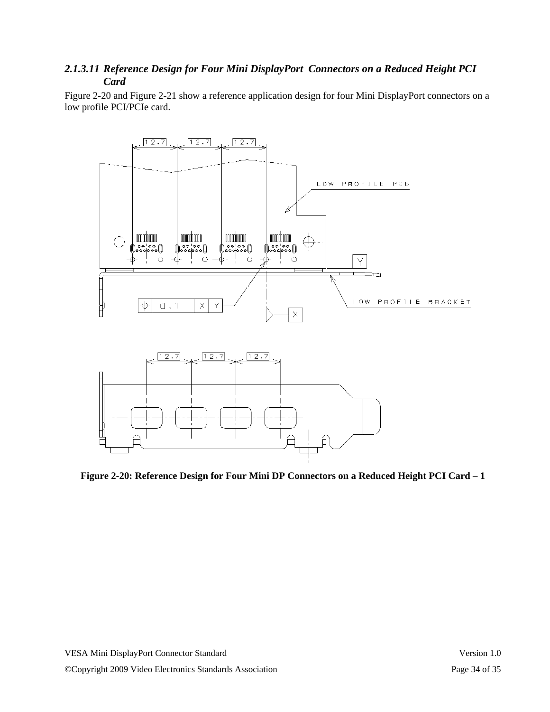#### *2.1.3.11 Reference Design for Four Mini DisplayPort Connectors on a Reduced Height PCI Card*

Figure 2-20 and Figure 2-21 show a reference application design for four Mini DisplayPort connectors on a low profile PCI/PCIe card.



**Figure 2-20: Reference Design for Four Mini DP Connectors on a Reduced Height PCI Card – 1**